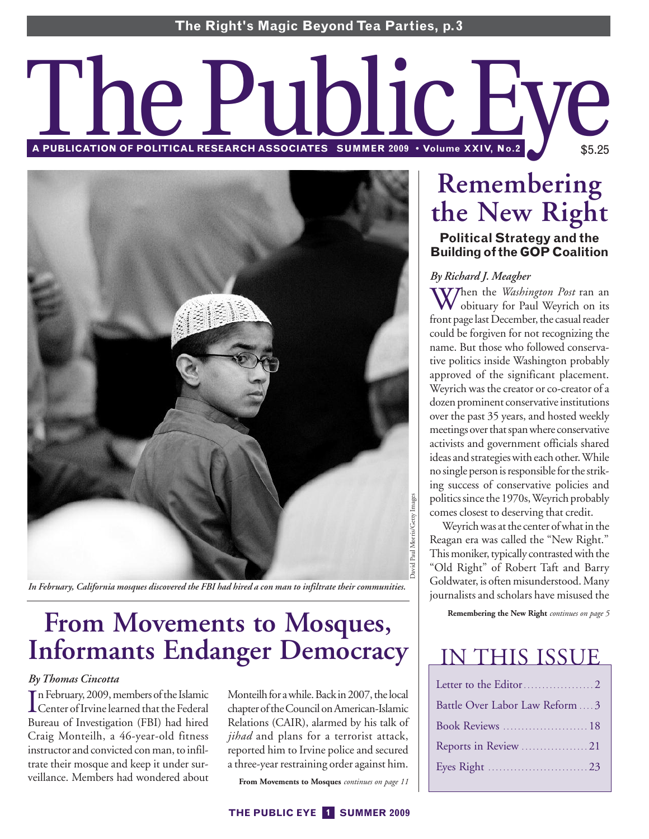# A PUBLICATION OF POLITICAL RESEARCH ASSOCIATES SUMMER 2009 • Volume XXIV, No.2<sup>2</sup> \$5.25 \$5.25



*In February, California mosques discovered the FBI had hired a con man to infiltrate their communities.*

# **From Movements to Mosques, Informants Endanger Democracy**

# *By Thomas Cincotta*

In February, 2009, members of the Islamic<br>Center of Irvine learned that the Federal n February, 2009,membersof the Islamic Bureau of Investigation (FBI) had hired Craig Monteilh, a 46-year-old fitness instructor and convicted con man, to infiltrate their mosque and keep it under surveillance. Members had wondered about Monteilh for a while. Back in 2007, the local chapter of the Council on American-Islamic Relations (CAIR), alarmed by his talk of *jihad* and plans for a terrorist attack, reported him to Irvine police and secured a three-year restraining order against him.

**From Movements to Mosques** *continues on page 11*

# **Remembering the New Right**

# **Political Strategy and the Building of the GOP Coalition**

# *By Richard J. Meagher*

When the *Washington Post* ran an obituary for Paul Weyrich on its front page last December, the casual reader could be forgiven for not recognizing the name. But those who followed conservative politics inside Washington probably approved of the significant placement. Weyrich was the creator or co-creator of a dozen prominent conservative institutions over the past 35 years, and hosted weekly meetings over that spanwhere conservative activists and government officials shared ideas and strategies with each other.While no single person is responsible for the striking success of conservative policies and politics since the 1970s, Weyrich probably comes closest to deserving that credit.

Weyrich was at the center of what in the Reagan era was called the "New Right." This moniker, typically contrasted with the "Old Right" of Robert Taft and Barry Goldwater, is often misunderstood.Many journalists and scholars have misused the

**Remembering the New Right** *continues on page 5*

# IN THIS ISSUE

| Battle Over Labor Law Reform  3 |
|---------------------------------|
|                                 |
|                                 |
|                                 |
|                                 |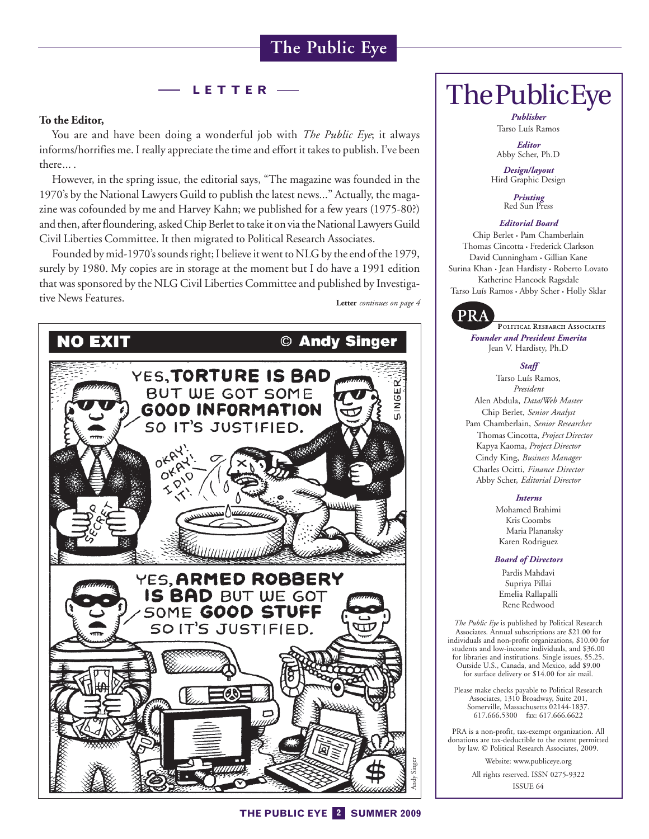# **LETTER**

### **To the Editor,**

You are and have been doing a wonderful job with *The Public Eye*; it always informs/horrifies me. I really appreciate the time and effort it takes to publish. I've been there... .

However, in the spring issue, the editorial says, "The magazine was founded in the 1970's by the National Lawyers Guild to publish the latest news..." Actually, the magazine was cofounded by me and Harvey Kahn; we published for a few years (1975-80?) and then, after floundering, asked Chip Berlet to take it on via the National Lawyers Guild Civil Liberties Committee. It then migrated to Political Research Associates.

Founded by mid-1970's sounds right; I believe it went to NLG by the end of the 1979, surely by 1980. My copies are in storage at the moment but I do have a 1991 edition that was sponsored by the NLG Civil Liberties Committee and published by Investigative News Features. **Letter** *continues on page 4*



*Publisher* Tarso Luís Ramos

*Editor* Abby Scher, Ph.D

*Design/layout* Hird Graphic Design

*Printing* Red Sun Press

### *Editorial Board*

Chip Berlet • Pam Chamberlain Thomas Cincotta • Frederick Clarkson David Cunningham • Gillian Kane Surina Khan • Jean Hardisty • Roberto Lovato Katherine Hancock Ragsdale Tarso Luís Ramos • Abby Scher • Holly Sklar



POLITICAL RESEARCH ASSOCIATES *Founder and President Emerita* Jean V. Hardisty, Ph.D

### *Staff*

Tarso Luís Ramos, *President* Alen Abdula, *Data/Web Master* Chip Berlet, *Senior Analyst* Pam Chamberlain, *Senior Researcher* Thomas Cincotta, *Project Director* Kapya Kaoma, *Project Director* Cindy King, *Business Manager* Charles Ocitti, *Finance Director* Abby Scher, *Editorial Director*

### *Interns*

Mohamed Brahimi Kris Coombs Maria Planansky Karen Rodriguez

### *Board of Directors*

Pardis Mahdavi Supriya Pillai Emelia Rallapalli Rene Redwood

*The Public Eye* is published by Political Research Associates. Annual subscriptions are \$21.00 for individuals and non-profit organizations, \$10.00 for students and low-income individuals, and \$36.00 for libraries and institutions. Single issues, \$5.25. Outside U.S., Canada, and Mexico, add \$9.00 for surface delivery or \$14.00 for air mail.

Please make checks payable to Political Research Associates, 1310 Broadway, Suite 201, Somerville, Massachusetts 02144-1837. 617.666.5300 fax: 617.666.6622

PRA is a non-profit, tax-exempt organization. All donations are tax-deductible to the extent permitted by law. © Political Research Associates, 2009.

> Website: www.publiceye.org All rights reserved. ISSN 0275-9322 ISSUE 64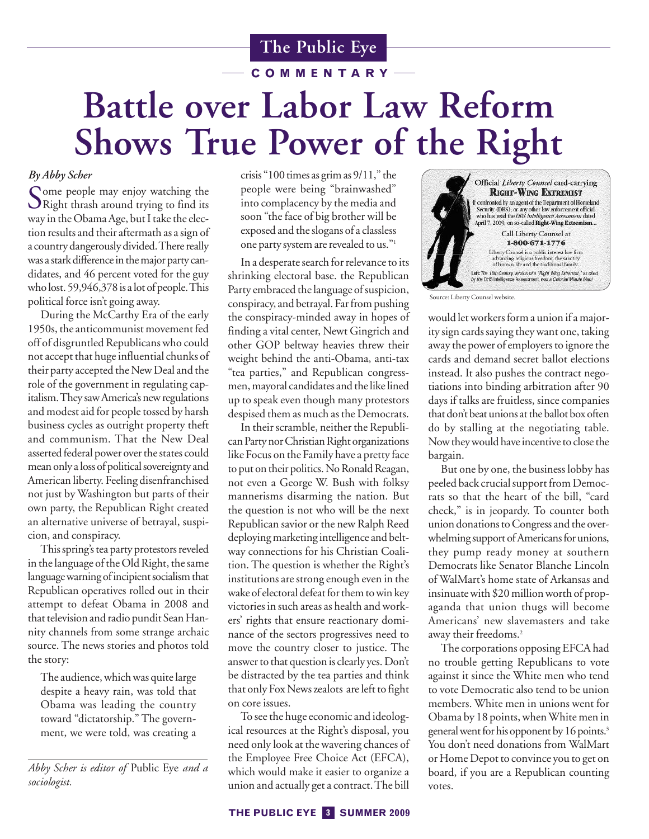**COMMENTARY**

# **Battle over Labor Law Reform Shows True Power of the Right**

# *By Abby Scher*

Some people may enjoy watching the<br>Right thrash around trying to find its way in the Obama Age, but I take the election results and their aftermath as a sign of a country dangerously divided.There really was a stark difference in the major party candidates, and 46 percent voted for the guy who lost. 59,946,378is a lot of people.This political force isn't going away.

During the McCarthy Era of the early 1950s, the anticommunist movement fed off of disgruntled Republicans who could not accept that huge influential chunks of their party accepted the New Deal and the role of the government in regulating capitalism.They saw America's new regulations and modest aid for people tossed by harsh business cycles as outright property theft and communism. That the New Deal asserted federal power over the states could mean only a loss of political sovereignty and American liberty. Feeling disenfranchised not just by Washington but parts of their own party, the Republican Right created an alternative universe of betrayal, suspicion, and conspiracy.

This spring's tea party protestors reveled in the language of the Old Right, the same language warning of incipient socialism that Republican operatives rolled out in their attempt to defeat Obama in 2008 and that television and radio pundit Sean Hannity channels from some strange archaic source. The news stories and photos told the story:

The audience, which was quite large despite a heavy rain, was told that Obama was leading the country toward "dictatorship." The government, we were told, was creating a

*Abby Scher is editor of* Public Eye *and a sociologist.*

crisis "100 times as grim as 9/11," the people were being "brainwashed" into complacency by the media and soon "the face of big brother will be exposed and the slogans of a classless one party system are revealed to us."1

In a desperate search for relevance to its shrinking electoral base. the Republican Party embraced the language of suspicion, conspiracy, and betrayal. Farfrom pushing the conspiracy-minded away in hopes of finding a vital center, Newt Gingrich and other GOP beltway heavies threw their weight behind the anti-Obama, anti-tax "tea parties," and Republican congressmen, mayoral candidates and the like lined up to speak even though many protestors despised them as much as the Democrats.

In their scramble, neither the Republican Party nor Christian Right organizations like Focus on the Family have a pretty face to put on their politics. No Ronald Reagan, not even a George W. Bush with folksy mannerisms disarming the nation. But the question is not who will be the next Republican savior or the new Ralph Reed deploying marketing intelligence and beltway connections for his Christian Coalition. The question is whether the Right's institutions are strong enough even in the wake of electoral defeat for them to win key victories in such areas as health and workers' rights that ensure reactionary dominance of the sectors progressives need to move the country closer to justice. The answer to that question is clearly yes. Don't be distracted by the tea parties and think that only Fox News zealots are left to fight on core issues.

To see the huge economic and ideological resources at the Right's disposal, you need only look at the wavering chances of the Employee Free Choice Act (EFCA), which would make it easier to organize a union and actually get a contract.The bill



Source: Liberty Counsel website.

would let workers form a union if a majority sign cards saying they want one, taking away the power of employers to ignore the cards and demand secret ballot elections instead. It also pushes the contract negotiations into binding arbitration after 90 days if talks are fruitless, since companies that don't beat unions at the ballot box often do by stalling at the negotiating table. Now they would have incentive to close the bargain.

But one by one, the business lobby has peeled back crucial support from Democrats so that the heart of the bill, "card check," is in jeopardy. To counter both union donations to Congress and the overwhelming support of Americans for unions, they pump ready money at southern Democrats like Senator Blanche Lincoln of WalMart's home state of Arkansas and insinuate with \$20 million worth of propaganda that union thugs will become Americans' new slavemasters and take away their freedoms.<sup>2</sup>

The corporations opposing EFCA had no trouble getting Republicans to vote against it since the White men who tend to vote Democratic also tend to be union members. White men in unions went for Obama by 18 points, whenWhite men in general went for his opponent by 16 points.<sup>3</sup> You don't need donations from WalMart or Home Depot to convince you to get on board, if you are a Republican counting votes.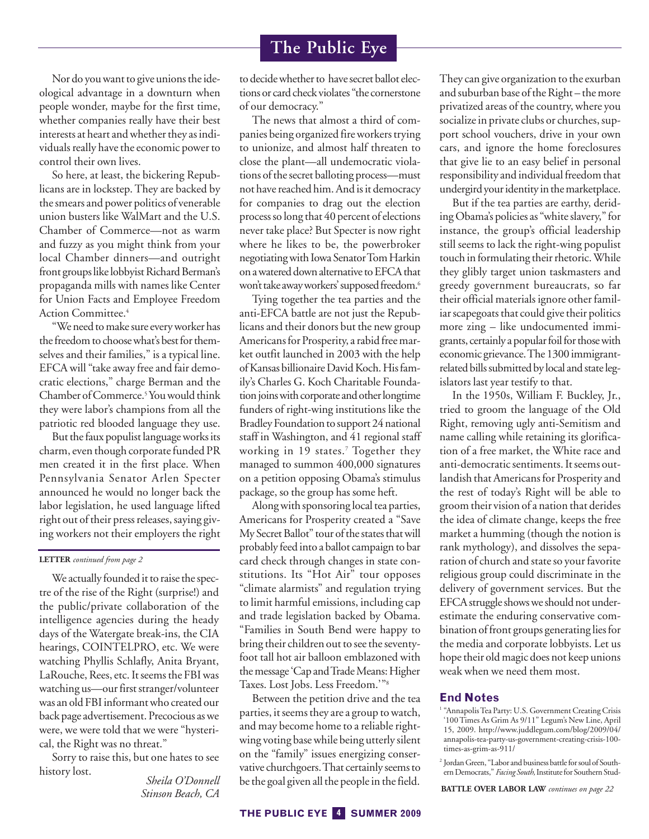Nor do you want to give unions the ideological advantage in a downturn when people wonder, maybe for the first time, whether companies really have their best interests at heart and whether they as individuals really have the economic power to control their own lives.

So here, at least, the bickering Republicans are in lockstep. They are backed by the smears and power politics of venerable union busters like WalMart and the U.S. Chamber of Commerce—not as warm and fuzzy as you might think from your local Chamber dinners—and outright front groups like lobbyist Richard Berman's propaganda mills with names like Center for Union Facts and Employee Freedom Action Committee.<sup>4</sup>

"We need to make sure every worker has the freedom to choose what's best for themselves and their families," is a typical line. EFCA will "take away free and fair democratic elections," charge Berman and the Chamber of Commerce.<sup>5</sup> You would think they were labor's champions from all the patriotic red blooded language they use.

But the faux populist language works its charm, even though corporate funded PR men created it in the first place. When Pennsylvania Senator Arlen Specter announced he would no longer back the labor legislation, he used language lifted right out of their press releases, saying giving workers not their employers the right

### **LETTER** *continued from page 2*

We actually founded it to raise the spectre of the rise of the Right (surprise!) and the public/private collaboration of the intelligence agencies during the heady days of the Watergate break-ins, the CIA hearings, COINTELPRO, etc. We were watching Phyllis Schlafly, Anita Bryant, LaRouche, Rees, etc. It seems the FBI was watching us—our first stranger/volunteer was an old FBI informant who created our back page advertisement. Precocious as we were, we were told that we were "hysterical, the Right was no threat."

Sorry to raise this, but one hates to see history lost. *Sheila O'Donnell*

*Stinson Beach, CA*

to decidewhether to have secret ballot elections or card check violates "the cornerstone of our democracy."

The news that almost a third of companies being organized fire workers trying to unionize, and almost half threaten to close the plant—all undemocratic violations of the secret balloting process—must not have reached him. And is it democracy for companies to drag out the election process so long that 40 percent of elections never take place? But Specter is now right where he likes to be, the powerbroker negotiating with Iowa Senator Tom Harkin on awatered down alternative to EFCA that won't take away workers' supposed freedom.<sup>6</sup>

Tying together the tea parties and the anti-EFCA battle are not just the Republicans and their donors but the new group Americans for Prosperity, a rabid free market outfit launched in 2003 with the help ofKansas billionaireDavidKoch.Hisfamily's Charles G. Koch Charitable Foundation joins with corporate and other longtime funders of right-wing institutions like the Bradley Foundation to support 24 national staff in Washington, and 41 regional staff working in 19 states.<sup>7</sup> Together they managed to summon 400,000 signatures on a petition opposing Obama's stimulus package, so the group has some heft.

Along with sponsoring local tea parties, Americans for Prosperity created a "Save My Secret Ballot" tour of the states that will probably feed into a ballot campaign to bar card check through changes in state constitutions. Its "Hot Air" tour opposes "climate alarmists" and regulation trying to limit harmful emissions, including cap and trade legislation backed by Obama. "Families in South Bend were happy to bring their children out to see the seventyfoot tall hot air balloon emblazoned with the message 'Cap and Trade Means: Higher Taxes. Lost Jobs. Less Freedom.'"8

Between the petition drive and the tea parties, it seems they are a group to watch, and may become home to a reliable rightwing voting base while being utterly silent on the "family" issues energizing conservative churchgoers.That certainly seems to be the goal given all the people in thefield.

They can give organization to the exurban and suburban base of the Right – the more privatized areas of the country, where you socialize in private clubs or churches, support school vouchers, drive in your own cars, and ignore the home foreclosures that give lie to an easy belief in personal responsibility and individual freedom that undergird your identity in the marketplace.

But if the tea parties are earthy, deriding Obama's policies as "white slavery," for instance, the group's official leadership still seems to lack the right-wing populist touch in formulating their rhetoric. While they glibly target union taskmasters and greedy government bureaucrats, so far their official materials ignore other familiar scapegoats that could give their politics more zing – like undocumented immigrants, certainly a popular foil for those with economic grievance.The 1300 immigrantrelated bills submitted by local and state legislators last year testify to that.

In the 1950s, William F. Buckley, Jr., tried to groom the language of the Old Right, removing ugly anti-Semitism and name calling while retaining its glorification of a free market, the White race and anti-democratic sentiments. It seems outlandish that Americans for Prosperity and the rest of today's Right will be able to groom their vision of a nation that derides the idea of climate change, keeps the free market a humming (though the notion is rank mythology), and dissolves the separation of church and state so your favorite religious group could discriminate in the delivery of government services. But the EFCA struggle showswe should not underestimate the enduring conservative combination of front groups generating lies for the media and corporate lobbyists. Let us hope their old magic does not keep unions weak when we need them most.

### **End Notes**

<sup>1</sup> "Annapolis Tea Party: U.S. Government Creating Crisis '100 Times As Grim As 9/11" Legum's New Line, April 15, 2009. http://www.juddlegum.com/blog/2009/04/ annapolis-tea-party-us-government-creating-crisis-100 times-as-grim-as-911/

<sup>2</sup> Jordan Green, "Labor and business battle for soul of Southern Democrats," Facing South, Institute for Southern Stud-

**BATTLE OVER LABOR LAW** *continues on page 22*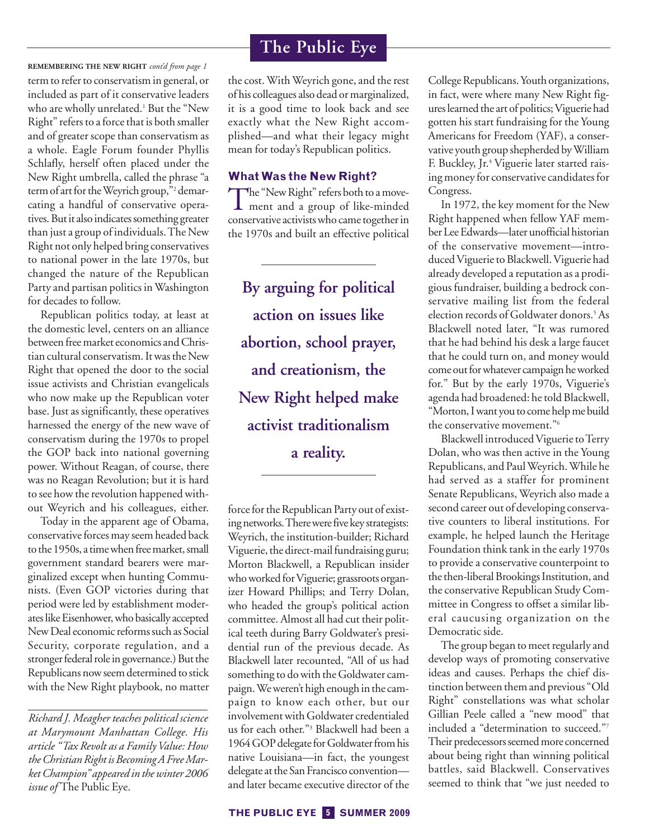term to refer to conservatism in general, or included as part of it conservative leaders who are wholly unrelated.<sup>1</sup> But the "New Right" refers to a force that is both smaller and of greater scope than conservatism as a whole. Eagle Forum founder Phyllis Schlafly, herself often placed under the New Right umbrella, called the phrase "a term of art for the Weyrich group,"<sup>2</sup> demarcating a handful of conservative operatives. But it also indicates something greater than just a group of individuals.The New Right not only helped bring conservatives to national power in the late 1970s, but changed the nature of the Republican Party and partisan politics inWashington for decades to follow. **REMEMBERING THE NEW RIGHT** *cont'd from page 1*

Republican politics today, at least at the domestic level, centers on an alliance between free market economics and Christian cultural conservatism. It was the New Right that opened the door to the social issue activists and Christian evangelicals who now make up the Republican voter base. Just as significantly, these operatives harnessed the energy of the new wave of conservatism during the 1970s to propel the GOP back into national governing power. Without Reagan, of course, there was no Reagan Revolution; but it is hard to see how the revolution happened without Weyrich and his colleagues, either.

Today in the apparent age of Obama, conservative forces may seem headed back to the 1950s, a time when free market, small government standard bearers were marginalized except when hunting Communists. (Even GOP victories during that period were led by establishment moderates like Eisenhower,who basically accepted New Deal economic reforms such as Social Security, corporate regulation, and a stronger federal role in governance.) But the Republicans now seem determined to stick with the New Right playbook, no matter

*Richard J. Meagher teaches political science at Marymount Manhattan College. His article "Tax Revolt as a Family Value: How* the Christian Right is Becoming A Free Mar*ket Champion" appeared inthe winter 2006 issue of* The Public Eye.

# **The Public Eye**

the cost. With Weyrich gone, and the rest of his colleagues also dead or marginalized, it is a good time to look back and see exactly what the New Right accomplished—and what their legacy might mean for today's Republican politics.

# **What Was the New Right?**

The "New Right" refers both to a move-ment and a group of like-minded conservative activists who came together in the 1970s and built an effective political

**By arguing for political action on issues like abortion, school prayer, and creationism, the New Right helped make activist traditionalism a reality.**

force for the Republican Party out of existing networks. There were five key strategists: Weyrich, the institution-builder; Richard Viguerie, the direct-mail fundraising guru; Morton Blackwell, a Republican insider who worked for Viguerie; grassroots organizer Howard Phillips; and Terry Dolan, who headed the group's political action committee. Almost all had cut their political teeth during Barry Goldwater's presidential run of the previous decade. As Blackwell later recounted, "All of us had something to do with the Goldwater campaign.We weren't high enough in the campaign to know each other, but our involvement with Goldwater credentialed us for each other."3 Blackwell had been a 1964 GOP delegate for Goldwater from his native Louisiana—in fact, the youngest delegate at the San Francisco convention and later became executive director of the College Republicans. Youth organizations, in fact, were where many New Right figures learned the art of politics;Viguerie had gotten his start fundraising for the Young Americans for Freedom (YAF), a conservative youth group shepherded byWilliam F. Buckley, Jr.4 Viguerie later started raising money for conservative candidates for Congress.

In 1972, the key moment for the New Right happened when fellow YAF member Lee Edwards—later unofficial historian of the conservative movement—introducedViguerie to Blackwell.Viguerie had already developed a reputation as a prodigious fundraiser, building a bedrock conservative mailing list from the federal election records of Goldwater donors.<sup>5</sup> As Blackwell noted later, "It was rumored that he had behind his desk a large faucet that he could turn on, and money would come out for whatever campaign he worked for." But by the early 1970s, Viguerie's agenda had broadened: he told Blackwell, "Morton, Iwant you to come helpme build the conservative movement."6

Blackwell introduced Viguerie to Terry Dolan, who was then active in the Young Republicans, and PaulWeyrich.While he had served as a staffer for prominent Senate Republicans, Weyrich also made a second career out of developing conservative counters to liberal institutions. For example, he helped launch the Heritage Foundation think tank in the early 1970s to provide a conservative counterpoint to the then-liberal Brookings Institution, and the conservative Republican Study Committee in Congress to offset a similar liberal caucusing organization on the Democratic side.

The group began to meet regularly and develop ways of promoting conservative ideas and causes. Perhaps the chief distinction between them and previous "Old Right" constellations was what scholar Gillian Peele called a "new mood" that included a "determination to succeed."7 Their predecessors seemed more concerned about being right than winning political battles, said Blackwell. Conservatives seemed to think that "we just needed to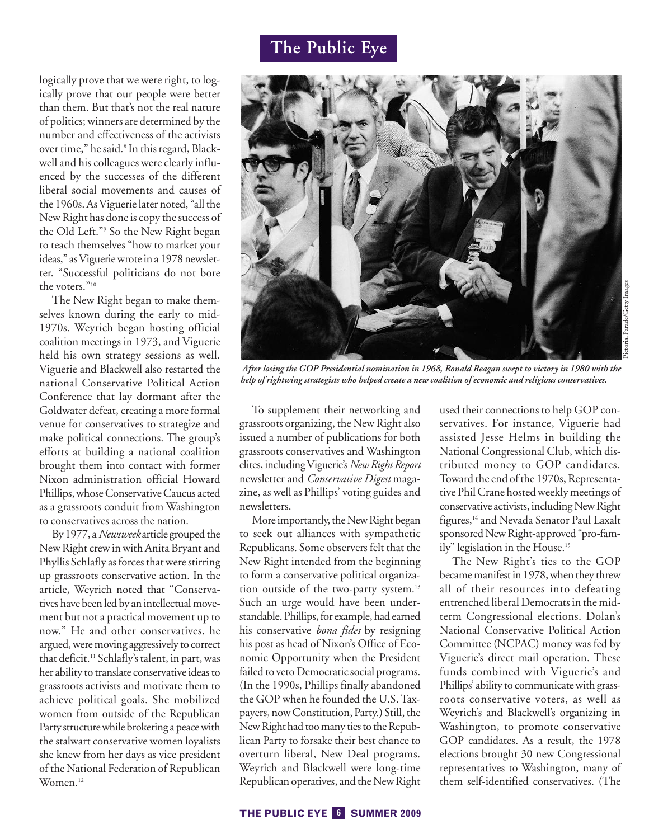logically prove that we were right, to logically prove that our people were better than them. But that's not the real nature of politics; winners are determined by the number and effectiveness of the activists over time," he said.<sup>8</sup> In this regard, Blackwell and his colleagues were clearly influenced by the successes of the different liberal social movements and causes of the 1960s. As Viguerie later noted, "all the New Right has done is copy the success of the Old Left."9 So the New Right began to teach themselves "how to market your ideas," asViguerie wrote in a 1978 newsletter. "Successful politicians do not bore the voters."<sup>10</sup>

The New Right began to make themselves known during the early to mid-1970s. Weyrich began hosting official coalition meetings in 1973, and Viguerie held his own strategy sessions as well. Viguerie and Blackwell also restarted the national Conservative Political Action Conference that lay dormant after the Goldwater defeat, creating a more formal venue for conservatives to strategize and make political connections. The group's efforts at building a national coalition brought them into contact with former Nixon administration official Howard Phillips, whose Conservative Caucus acted as a grassroots conduit from Washington to conservatives across the nation.

By 1977, a*Newsweek* article grouped the New Right crew in with Anita Bryant and Phyllis Schlafly as forces that were stirring up grassroots conservative action. In the article, Weyrich noted that "Conservatives have been led by an intellectual movement but not a practical movement up to now." He and other conservatives, he argued, were moving aggressively to correct that deficit.<sup>11</sup> Schlafly's talent, in part, was her ability to translate conservative ideas to grassroots activists and motivate them to achieve political goals. She mobilized women from outside of the Republican Party structure while brokering a peace with the stalwart conservative women loyalists she knew from her days as vice president of the National Federation of Republican Women.12



*After losing the GOP Presidential nomination in 1968, Ronald Reagan swept to victory in 1980 with the help of rightwing strategists who helped create a new coalition of economic and religious conservatives.*

To supplement their networking and grassroots organizing, the New Right also issued a number of publications for both grassroots conservatives and Washington elites,includingViguerie's*New Right Report* newsletter and *Conservative Digest* magazine, as well as Phillips' voting guides and newsletters.

More importantly, the New Right began to seek out alliances with sympathetic Republicans. Some observers felt that the New Right intended from the beginning to form a conservative political organization outside of the two-party system.<sup>13</sup> Such an urge would have been understandable. Phillips, for example, had earned his conservative *bona fides* by resigning his post as head of Nixon's Office of Economic Opportunity when the President failed to veto Democratic social programs. (In the 1990s, Phillips finally abandoned the GOP when he founded the U.S. Taxpayers, now Constitution, Party.) Still, the New Right had too many ties to the Republican Party to forsake their best chance to overturn liberal, New Deal programs. Weyrich and Blackwell were long-time Republican operatives, and the New Right used their connections to help GOP conservatives. For instance, Viguerie had assisted Jesse Helms in building the National Congressional Club, which distributed money to GOP candidates. Toward the end of the 1970s, Representative Phil Crane hosted weekly meetings of conservative activists, including New Right figures,<sup>14</sup> and Nevada Senator Paul Laxalt sponsored New Right-approved "pro-family" legislation in the House.<sup>15</sup>

The New Right's ties to the GOP became manifest in 1978, when they threw all of their resources into defeating entrenched liberal Democrats in the midterm Congressional elections. Dolan's National Conservative Political Action Committee (NCPAC) money was fed by Viguerie's direct mail operation. These funds combined with Viguerie's and Phillips' ability to communicate with grassroots conservative voters, as well as Weyrich's and Blackwell's organizing in Washington, to promote conservative GOP candidates. As a result, the 1978 elections brought 30 new Congressional representatives to Washington, many of them self-identified conservatives. (The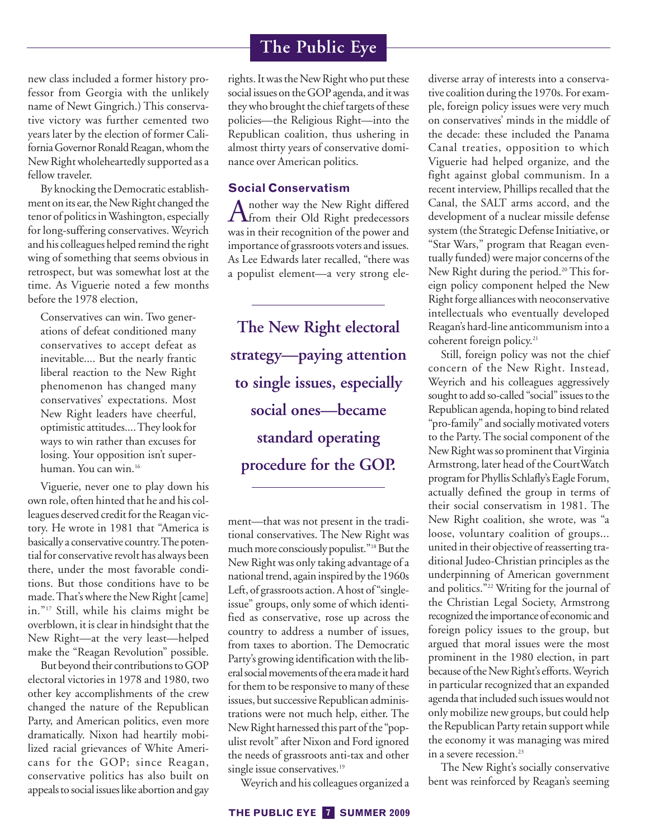new class included a former history professor from Georgia with the unlikely name of Newt Gingrich.) This conservative victory was further cemented two years later by the election of former California Governor Ronald Reagan, whom the New Right wholeheartedly supported as a fellow traveler.

By knocking the Democratic establishment on its ear, the New Right changed the tenor of politics inWashington, especially for long-suffering conservatives. Weyrich and his colleagues helped remind the right wing of something that seems obvious in retrospect, but was somewhat lost at the time. As Viguerie noted a few months before the 1978 election,

Conservatives can win. Two generations of defeat conditioned many conservatives to accept defeat as inevitable.... But the nearly frantic liberal reaction to the New Right phenomenon has changed many conservatives' expectations. Most New Right leaders have cheerful, optimistic attitudes.... They look for ways to win rather than excuses for losing. Your opposition isn't superhuman. You can win.16

Viguerie, never one to play down his own role, often hinted that he and his colleagues deserved credit for the Reagan victory. He wrote in 1981 that "America is basically a conservative country.The potential for conservative revolt has always been there, under the most favorable conditions. But those conditions have to be made.That's where the New Right [came] in."17 Still, while his claims might be overblown, it is clear in hindsight that the New Right—at the very least—helped make the "Reagan Revolution" possible.

But beyond their contributions to GOP electoral victories in 1978 and 1980, two other key accomplishments of the crew changed the nature of the Republican Party, and American politics, even more dramatically. Nixon had heartily mobilized racial grievances of White Americans for the GOP; since Reagan, conservative politics has also built on appeals to social issues like abortion and gay

# **The Public Eye**

rights. It was the New Right who put these social issues on the GOP agenda, and it was they who brought the chief targets of these policies—the Religious Right—into the Republican coalition, thus ushering in almost thirty years of conservative dominance over American politics.

# **Social Conservatism**

Another way the New Right differed<br>from their Old Right predecessors was in their recognition of the power and importance of grassroots voters and issues. As Lee Edwards later recalled, "there was a populist element—a very strong ele-

**The New Right electoral strategy—paying attention to single issues, especially social ones—became standard operating procedure for the GOP.**

ment—that was not present in the traditional conservatives. The New Right was much more consciously populist."<sup>18</sup> But the New Right was only taking advantage of a national trend, again inspired by the 1960s Left, of grassroots action. A host of "singleissue" groups, only some of which identified as conservative, rose up across the country to address a number of issues, from taxes to abortion. The Democratic Party's growing identification with the liberal social movements of the era made it hard for them to be responsive to many of these issues, but successive Republican administrations were not much help, either. The New Right harnessed this part of the "populist revolt" after Nixon and Ford ignored the needs of grassroots anti-tax and other single issue conservatives.<sup>19</sup>

Weyrich and his colleagues organized a

diverse array of interests into a conservative coalition during the 1970s. For example, foreign policy issues were very much on conservatives' minds in the middle of the decade: these included the Panama Canal treaties, opposition to which Viguerie had helped organize, and the fight against global communism. In a recent interview, Phillips recalled that the Canal, the SALT arms accord, and the development of a nuclear missile defense system (the Strategic Defense Initiative, or "Star Wars," program that Reagan eventually funded) were major concerns of the New Right during the period.<sup>20</sup> This foreign policy component helped the New Right forge alliances with neoconservative intellectuals who eventually developed Reagan's hard-line anticommunism into a coherent foreign policy.<sup>21</sup>

Still, foreign policy was not the chief concern of the New Right. Instead, Weyrich and his colleagues aggressively sought to add so-called "social" issues to the Republican agenda, hoping to bind related "pro-family" and socially motivated voters to the Party. The social component of the New Right was so prominent that Virginia Armstrong, later head of the CourtWatch program for Phyllis Schlafly's Eagle Forum, actually defined the group in terms of their social conservatism in 1981. The New Right coalition, she wrote, was "a loose, voluntary coalition of groups... united in their objective of reasserting traditional Judeo-Christian principles as the underpinning of American government and politics."22 Writing for the journal of the Christian Legal Society, Armstrong recognized the importance of economic and foreign policy issues to the group, but argued that moral issues were the most prominent in the 1980 election, in part because of the New Right's efforts.Weyrich in particular recognized that an expanded agenda that included such issues would not only mobilize new groups, but could help the Republican Party retain support while the economy it was managing was mired in a severe recession.<sup>23</sup>

The New Right's socially conservative bent was reinforced by Reagan's seeming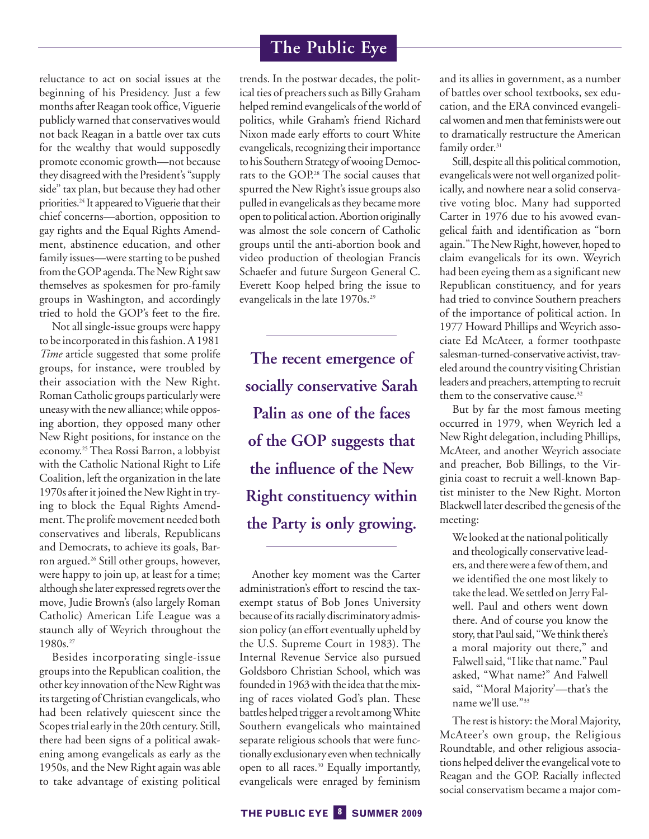reluctance to act on social issues at the beginning of his Presidency. Just a few months after Reagan took office,Viguerie publicly warned that conservatives would not back Reagan in a battle over tax cuts for the wealthy that would supposedly promote economic growth—not because they disagreed with the President's "supply side" tax plan, but because they had other priorities.<sup>24</sup> It appeared to Viguerie that their chief concerns—abortion, opposition to gay rights and the Equal Rights Amendment, abstinence education, and other family issues—were starting to be pushed from the GOP agenda.The New Right saw themselves as spokesmen for pro-family groups in Washington, and accordingly tried to hold the GOP's feet to the fire.

Not all single-issue groups were happy to be incorporated in this fashion. A 1981 *Time* article suggested that some prolife groups, for instance, were troubled by their association with the New Right. Roman Catholic groups particularly were uneasy with the new alliance; while opposing abortion, they opposed many other New Right positions, for instance on the economy.25Thea Rossi Barron, a lobbyist with the Catholic National Right to Life Coalition, left the organization in the late 1970s after it joined the New Right in trying to block the Equal Rights Amendment.The prolife movement needed both conservatives and liberals, Republicans and Democrats, to achieve its goals, Barron argued.26 Still other groups, however, were happy to join up, at least for a time; although she later expressed regrets over the move, Judie Brown's (also largely Roman Catholic) American Life League was a staunch ally of Weyrich throughout the 1980s.27

Besides incorporating single-issue groups into the Republican coalition, the other key innovation of the New Right was its targeting of Christian evangelicals, who had been relatively quiescent since the Scopes trial early in the 20th century. Still, there had been signs of a political awakening among evangelicals as early as the 1950s, and the New Right again was able to take advantage of existing political

trends. In the postwar decades, the political ties of preachers such as Billy Graham helped remind evangelicals of the world of politics, while Graham's friend Richard Nixon made early efforts to court White evangelicals, recognizing their importance to his Southern Strategy of wooing Democrats to the GOP.28 The social causes that spurred the New Right's issue groups also pulled in evangelicals as they became more open to political action. Abortion originally was almost the sole concern of Catholic groups until the anti-abortion book and video production of theologian Francis Schaefer and future Surgeon General C. Everett Koop helped bring the issue to evangelicals in the late 1970s.<sup>29</sup>

**The recent emergence of socially conservative Sarah Palin as one of the faces of the GOP suggests that the influence of the New Right constituency within the Party is only growing.**

Another key moment was the Carter administration's effort to rescind the taxexempt status of Bob Jones University because of its racially discriminatory admission policy (an effort eventually upheld by the U.S. Supreme Court in 1983). The Internal Revenue Service also pursued Goldsboro Christian School, which was founded in 1963 with the idea that the mixing of races violated God's plan. These battles helped trigger a revolt amongWhite Southern evangelicals who maintained separate religious schools that were functionally exclusionary evenwhen technically open to all races.30 Equally importantly, evangelicals were enraged by feminism and its allies in government, as a number of battles over school textbooks, sex education, and the ERA convinced evangelical women and men that feminists were out to dramatically restructure the American family order.<sup>31</sup>

Still, despite all this political commotion, evangelicals were not well organized politically, and nowhere near a solid conservative voting bloc. Many had supported Carter in 1976 due to his avowed evangelical faith and identification as "born again."The New Right, however, hoped to claim evangelicals for its own. Weyrich had been eyeing them as a significant new Republican constituency, and for years had tried to convince Southern preachers of the importance of political action. In 1977 Howard Phillips and Weyrich associate Ed McAteer, a former toothpaste salesman-turned-conservative activist, traveled around the country visiting Christian leaders and preachers, attempting to recruit them to the conservative cause.<sup>32</sup>

But by far the most famous meeting occurred in 1979, when Weyrich led a New Right delegation, including Phillips, McAteer, and another Weyrich associate and preacher, Bob Billings, to the Virginia coast to recruit a well-known Baptist minister to the New Right. Morton Blackwell later described the genesis of the meeting:

We looked at the national politically and theologically conservative leaders, and therewere afew of them, and we identified the one most likely to take the lead.We settled on Jerry Falwell. Paul and others went down there. And of course you know the story, that Paul said, "We think there's a moral majority out there," and Falwell said, "I like that name." Paul asked, "What name?" And Falwell said, "'Moral Majority'—that's the name we'll use."33

The rest is history: the Moral Majority, McAteer's own group, the Religious Roundtable, and other religious associations helped deliver the evangelical vote to Reagan and the GOP. Racially inflected social conservatism became a major com-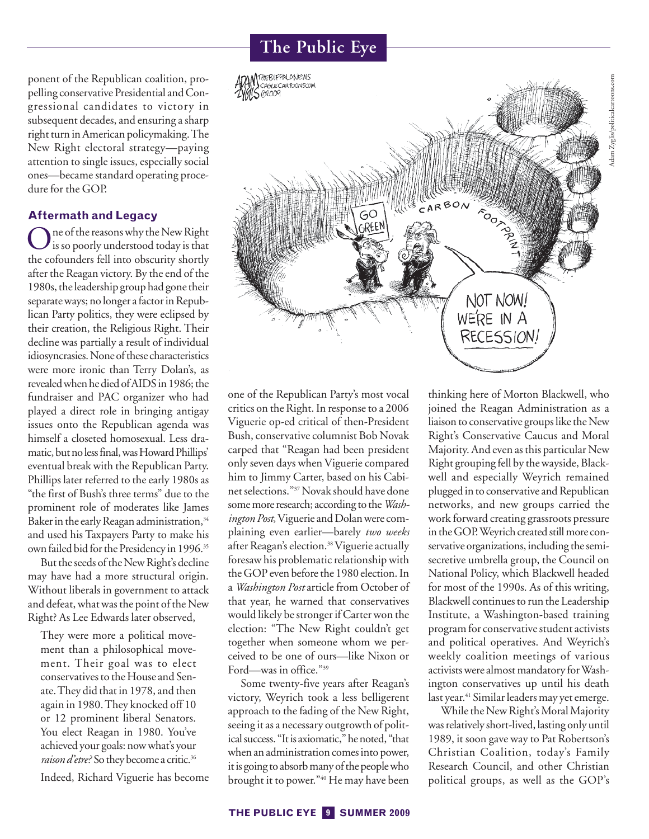ponent of the Republican coalition, propelling conservative Presidential and Congressional candidates to victory in subsequent decades, and ensuring a sharp right turn in American policymaking.The New Right electoral strategy—paying attention to single issues, especially social ones—became standard operating procedure for the GOP.

# **Aftermath and Legacy**

One of the reasons why the New Right is so poorly understood today is that the cofounders fell into obscurity shortly after the Reagan victory. By the end of the 1980s, the leadership group had gone their separate ways; no longer afactor in Republican Party politics, they were eclipsed by their creation, the Religious Right. Their decline was partially a result of individual idiosyncrasies.None of these characteristics were more ironic than Terry Dolan's, as revealedwhen he died of AIDSin 1986; the fundraiser and PAC organizer who had played a direct role in bringing antigay issues onto the Republican agenda was himself a closeted homosexual. Less dramatic, but no less final, was Howard Phillips' eventual break with the Republican Party. Phillips later referred to the early 1980s as "the first of Bush's three terms" due to the prominent role of moderates like James Baker in the early Reagan administration,<sup>34</sup> and used his Taxpayers Party to make his own failed bid for the Presidency in 1996.<sup>35</sup>

But the seeds of the New Right's decline may have had a more structural origin. Without liberals in government to attack and defeat, what was the point of the New Right? As Lee Edwards later observed,

They were more a political movement than a philosophical movement. Their goal was to elect conservatives to the House and Senate.They did that in 1978, and then again in 1980.They knocked off 10 or 12 prominent liberal Senators. You elect Reagan in 1980. You've achieved your goals: now what's your raison d'etre? So they become a critic.<sup>36</sup>

Indeed, Richard Viguerie has become

# **The Public Eye**



one of the Republican Party's most vocal critics on the Right. In response to a 2006 Viguerie op-ed critical of then-President Bush, conservative columnist Bob Novak carped that "Reagan had been president only seven days when Viguerie compared him to Jimmy Carter, based on his Cabinet selections."37Novak should have done somemore research; according to the*Washington Post,*Viguerie and Dolan were complaining even earlier—barely *two weeks* after Reagan's election.<sup>38</sup> Viguerie actually foresaw his problematic relationship with the GOP even before the 1980 election. In a *Washington Post* article from October of that year, he warned that conservatives would likely be stronger if Carter won the election: "The New Right couldn't get together when someone whom we perceived to be one of ours—like Nixon or Ford—was in office."39

Some twenty-five years after Reagan's victory, Weyrich took a less belligerent approach to the fading of the New Right, seeing it as a necessary outgrowth of political success. "It is axiomatic," he noted, "that when an administration comes into power, it is going to absorb many of the people who brought it to power."40 He may have been thinking here of Morton Blackwell, who joined the Reagan Administration as a liaison to conservative groups like the New Right's Conservative Caucus and Moral Majority. And even as this particular New Right grouping fell by the wayside, Blackwell and especially Weyrich remained plugged in to conservative and Republican networks, and new groups carried the work forward creating grassroots pressure in the GOP. Weyrich created still more conservative organizations, including the semisecretive umbrella group, the Council on National Policy, which Blackwell headed for most of the 1990s. As of this writing, Blackwell continues to run the Leadership Institute, a Washington-based training program for conservative student activists and political operatives. And Weyrich's weekly coalition meetings of various activists were almost mandatory for Washington conservatives up until his death last year.<sup>41</sup> Similar leaders may yet emerge.

While the New Right's Moral Majority was relatively short-lived, lasting only until 1989, it soon gave way to Pat Robertson's Christian Coalition, today's Family Research Council, and other Christian political groups, as well as the GOP's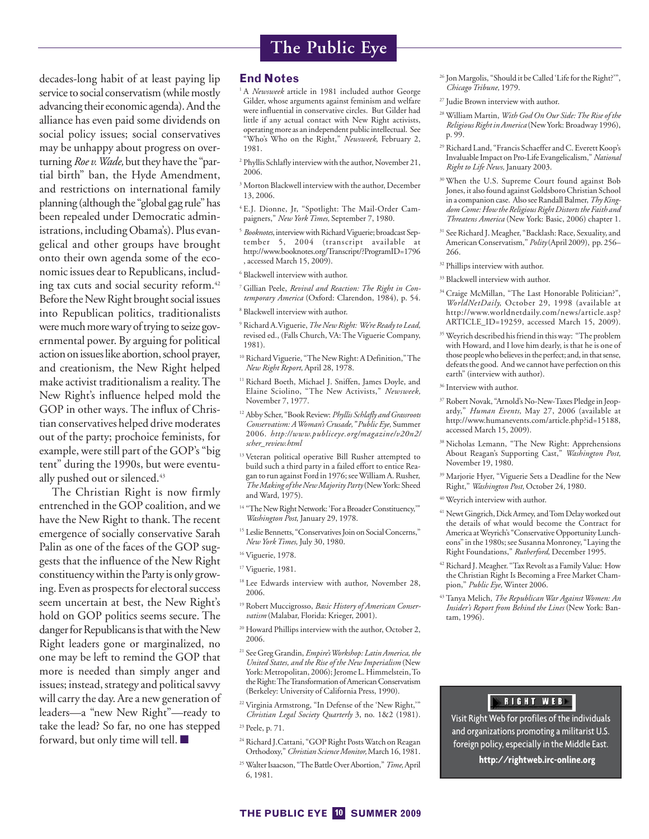decades-long habit of at least paying lip service to social conservatism (while mostly advancing their economic agenda). And the alliance has even paid some dividends on social policy issues; social conservatives may be unhappy about progress on overturning*Roe v.Wade,* but they have the "partial birth" ban, the Hyde Amendment, and restrictions on international family planning (although the "global gag rule" has been repealed under Democratic administrations, including Obama's). Plus evangelical and other groups have brought onto their own agenda some of the economic issues dear to Republicans, including tax cuts and social security reform.<sup>42</sup> Before the New Right brought social issues into Republican politics, traditionalists were much more wary of trying to seize governmental power. By arguing for political action on issues like abortion, school prayer, and creationism, the New Right helped make activist traditionalism a reality. The New Right's influence helped mold the GOP in other ways. The influx of Christian conservatives helped drive moderates out of the party; prochoice feminists, for example, were still part of the GOP's "big tent" during the 1990s, but were eventually pushed out or silenced.<sup>43</sup>

The Christian Right is now firmly entrenched in the GOP coalition, and we have the New Right to thank. The recent emergence of socially conservative Sarah Palin as one of the faces of the GOP suggests that the influence of the New Right constituency within the Party is only growing. Even as prospects for electoral success seem uncertain at best, the New Right's hold on GOP politics seems secure. The danger for Republicans is that with the New Right leaders gone or marginalized, no one may be left to remind the GOP that more is needed than simply anger and issues; instead, strategy and political savvy will carry the day. Are a new generation of leaders—a "new New Right"—ready to take the lead? So far, no one has stepped forward, but only time will tell. ■

### **End Notes**

- <sup>1</sup> A *Newsweek* article in 1981 included author George Gilder, whose arguments against feminism and welfare were influential in conservative circles. But Gilder had little if any actual contact with New Right activists, operating more as an independent public intellectual. See "Who's Who on the Right," *Newsweek*, February 2, 1981.
- <sup>2</sup> Phyllis Schlafly interview with the author, November 21, 2006.
- <sup>3</sup> Morton Blackwell interview with the author, December 13, 2006.
- <sup>4</sup> E.J. Dionne, Jr, "Spotlight: The Mail-Order Campaigners," *New York Times,* September 7, 1980.
- <sup>5</sup> Booknotes, interview with Richard Viguerie; broadcast September 5, 2004 (transcript available at http://www.booknotes.org/Transcript/?ProgramID=1796 , accessed March 15, 2009).
- <sup>6</sup> Blackwell interview with author.
- <sup>7</sup> Gillian Peele, *Revival and Reaction: The Right in Contemporary America* (Oxford: Clarendon, 1984), p. 54.
- <sup>8</sup> Blackwell interview with author.
- <sup>9</sup> Richard A.Viguerie,*The New Right: We're Ready to Lead,* revised ed., (Falls Church, VA: The Viguerie Company, 1981).
- <sup>10</sup> Richard Viguerie, "The New Right: A Definition," The *New Right Report,* April 28, 1978.
- <sup>11</sup> Richard Boeth, Michael J. Sniffen, James Doyle, and Elaine Sciolino, "The New Activists," *Newsweek,* November 7, 1977.
- <sup>12</sup> Abby Scher, "Book Review: *Phyllis Schlafly and Grassroots Conservatism: AWoman's Crusade," Public Eye,* Summer 2006. *http://www.publiceye.org/magazine/v20n2/ scher\_review.html*
- <sup>13</sup> Veteran political operative Bill Rusher attempted to build such a third party in a failed effort to entice Reagan to run against Ford in 1976; seeWilliam A. Rusher, *TheMaking of the NewMajority Party*(New York: Sheed and Ward, 1975).
- <sup>14</sup> "The New Right Network: 'For a Broader Constituency,'" *Washington Post*, January 29, 1978.
- <sup>15</sup> Leslie Bennetts, "Conservatives Join on Social Concerns," *New York Times,* July 30, 1980.
- <sup>16</sup> Viguerie, 1978.
- <sup>17</sup> Viguerie, 1981.
- <sup>18</sup> Lee Edwards interview with author, November 28, 2006.
- <sup>19</sup> Robert Muccigrosso, *Basic History of American Conservatism* (Malabar, Florida: Krieger, 2001).
- <sup>20</sup> Howard Phillips interview with the author, October 2, 2006.
- <sup>21</sup> See Greg Grandin, *Empire'sWorkshop: Latin America, the United States, and the Rise of the New Imperialism* (New York: Metropolitan, 2006); Jerome L. Himmelstein, To the Right: The Transformation of American Conservatism (Berkeley: University of California Press, 1990).
- $\mathrm{^{22}V}$ irginia Armstrong, "In Defense of the 'New Right, " *Christian Legal Society Quarterly* 3, no. 1&2 (1981).
- <sup>23</sup> Peele, p. 71.
- <sup>24</sup> Richard J.Cattani, "GOP Right Posts Watch on Reagan Orthodoxy,"*Christian ScienceMonitor,*March 16, 1981.
- <sup>25</sup> Walter Isaacson, "The BattleOver Abortion,"*Time,*April 6, 1981.
- <sup>26</sup> Jon Margolis, "Should it be Called 'Life for the Right?'", *Chicago Tribune,* 1979.
- <sup>27</sup> Judie Brown interview with author.
- <sup>28</sup> William Martin, *With God On Our Side: The Rise of the Religious Right in America* (New York: Broadway 1996), p. 99.
- <sup>29</sup> Richard Land, "Francis Schaeffer and C. Everett Koop's Invaluable Impact on Pro-Life Evangelicalism,"*National Right to Life News,* January 2003.
- <sup>30</sup> When the U.S. Supreme Court found against Bob Jones, it also found against Goldsboro Christian School in a companion case. Also see Randall Balmer,*Thy Kingdom Come: How the Religious Right Distorts the Faith and Threatens America* (New York: Basic, 2006) chapter 1.
- <sup>31</sup> See Richard J.Meagher, "Backlash: Race, Sexuality, and American Conservatism," *Polity*(April 2009), pp. 256– 266.
- <sup>32</sup> Phillips interview with author.
- <sup>33</sup> Blackwell interview with author.
- <sup>34</sup> Craige McMillan, "The Last Honorable Politician?", *WorldNetDaily,* October 29, 1998 (available at http://www.worldnetdaily.com/news/article.asp? ARTICLE\_ID=19259, accessed March 15, 2009).
- <sup>35</sup> Weyrich described his friend in this way: "The problem with Howard, and I love him dearly, is that he is one of those people who believes in the perfect; and, in that sense, defeats the good. And we cannot have perfection on this earth" (interview with author).
- <sup>36</sup> Interview with author.
- <sup>37</sup> Robert Novak, "Arnold's No-New-Taxes Pledge in Jeopardy," *Human Events,* May 27, 2006 (available at http://www.humanevents.com/article.php?id=15188, accessed March 15, 2009).
- <sup>38</sup> Nicholas Lemann, "The New Right: Apprehensions About Reagan's Supporting Cast," *Washington Post,* November 19, 1980.
- <sup>39</sup> Marjorie Hyer, "Viguerie Sets a Deadline for the New Right," *Washington Post,* October 24, 1980.
- <sup>40</sup> Weyrich interview with author.
- <sup>41</sup> Newt Gingrich, Dick Armey, and Tom Delay worked out the details of what would become the Contract for America atWeyrich's "Conservative Opportunity Luncheons" in the 1980s; see Susanna Monroney, "Laying the Right Foundations," *Rutherford,* December 1995.
- <sup>42</sup> Richard J. Meagher. "Tax Revolt as a Family Value: How the Christian Right Is Becoming a Free Market Champion," *Public Eye,* Winter 2006.
- <sup>43</sup> Tanya Melich, *The Republican War Against Women: An Insider's Report from Behind the Lines* (New York: Bantam, 1996).

# **BIGHT WEB**

Visit Right Web for profiles of the individuals and organizations promoting a militarist U.S. foreign policy, especially in the Middle East.

**http://rightweb.irc-online.org**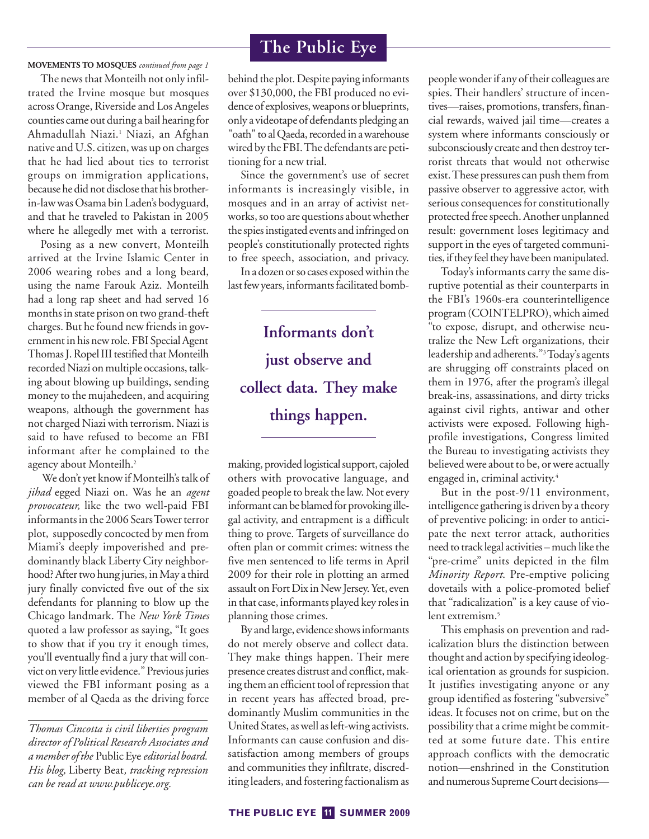**MOVEMENTS TO MOSQUES** *continued from page 1*

The news that Monteilh not only infiltrated the Irvine mosque but mosques across Orange, Riverside and Los Angeles counties came out during a bail hearing for Ahmadullah Niazi.1 Niazi, an Afghan native and U.S. citizen, was up on charges that he had lied about ties to terrorist groups on immigration applications, because he did not disclose that his brotherin-law was Osama bin Laden's bodyguard, and that he traveled to Pakistan in 2005 where he allegedly met with a terrorist.

Posing as a new convert, Monteilh arrived at the Irvine Islamic Center in 2006 wearing robes and a long beard, using the name Farouk Aziz. Monteilh had a long rap sheet and had served 16 months in state prison on two grand-theft charges. But he found new friends in government in his new role. FBI Special Agent Thomas J. Ropel III testified that Monteilh recorded Niazi on multiple occasions, talking about blowing up buildings, sending money to the mujahedeen, and acquiring weapons, although the government has not charged Niazi with terrorism. Niazi is said to have refused to become an FBI informant after he complained to the agency about Monteilh.<sup>2</sup>

We don't yet know if Monteilh's talk of *jihad* egged Niazi on. Was he an *agent provocateur,* like the two well-paid FBI informants in the 2006 SearsTower terror plot, supposedly concocted by men from Miami's deeply impoverished and predominantly black Liberty City neighborhood? After two hung juries, in May a third jury finally convicted five out of the six defendants for planning to blow up the Chicago landmark. The *New York Times* quoted a law professor as saying, "It goes to show that if you try it enough times, you'll eventually find a jury that will convict on very little evidence." Previous juries viewed the FBI informant posing as a member of al Qaeda as the driving force

*Thomas Cincotta is civil liberties program director of Political Research Associates and a member of the* Public Eye*editorial board. His blog,* Liberty Beat*, tracking repression can be read at www.publiceye.org.*

# **The Public Eye**

behind the plot. Despite paying informants over \$130,000, the FBI produced no evidence of explosives, weapons or blueprints, only a videotape of defendants pledging an "oath" to al Qaeda, recorded in a warehouse wired by the FBI.The defendants are petitioning for a new trial.

Since the government's use of secret informants is increasingly visible, in mosques and in an array of activist networks, so too are questions about whether the spies instigated events and infringed on people's constitutionally protected rights to free speech, association, and privacy.

In a dozen or so cases exposed within the last few years, informants facilitated bomb-

**Informants don't just observe and collect data. They make things happen.**

making, provided logistical support, cajoled others with provocative language, and goaded people to break the law. Not every informant can be blamed for provoking illegal activity, and entrapment is a difficult thing to prove. Targets of surveillance do often plan or commit crimes: witness the five men sentenced to life terms in April 2009 for their role in plotting an armed assault on Fort Dix in New Jersey. Yet, even in that case, informants played key roles in planning those crimes.

By and large, evidence shows informants do not merely observe and collect data. They make things happen. Their mere presence creates distrust and conflict, making them an efficient tool of repression that in recent years has affected broad, predominantly Muslim communities in the United States, as well as left-wing activists. Informants can cause confusion and dissatisfaction among members of groups and communities they infiltrate, discrediting leaders, and fostering factionalism as people wonder if any of their colleagues are spies. Their handlers' structure of incentives—raises, promotions, transfers, financial rewards, waived jail time—creates a system where informants consciously or subconsciously create and then destroy terrorist threats that would not otherwise exist.These pressures can push them from passive observer to aggressive actor, with serious consequences for constitutionally protected free speech. Another unplanned result: government loses legitimacy and support in the eyes of targeted communities, if they feel they have been manipulated.

Today's informants carry the same disruptive potential as their counterparts in the FBI's 1960s-era counterintelligence program (COINTELPRO), which aimed "to expose, disrupt, and otherwise neutralize the New Left organizations, their leadership and adherents."3Today's agents are shrugging off constraints placed on them in 1976, after the program's illegal break-ins, assassinations, and dirty tricks against civil rights, antiwar and other activists were exposed. Following highprofile investigations, Congress limited the Bureau to investigating activists they believed were about to be, or were actually engaged in, criminal activity.4

But in the post-9/11 environment, intelligence gathering is driven by a theory of preventive policing: in order to anticipate the next terror attack, authorities need to track legal activities – much like the "pre-crime" units depicted in the film *Minority Report*. Pre-emptive policing dovetails with a police-promoted belief that "radicalization" is a key cause of violent extremism.<sup>5</sup>

This emphasis on prevention and radicalization blurs the distinction between thought and action by specifying ideological orientation as grounds for suspicion. It justifies investigating anyone or any group identified as fostering "subversive" ideas. It focuses not on crime, but on the possibility that a crime might be committed at some future date. This entire approach conflicts with the democratic notion—enshrined in the Constitution and numerous SupremeCourt decisions—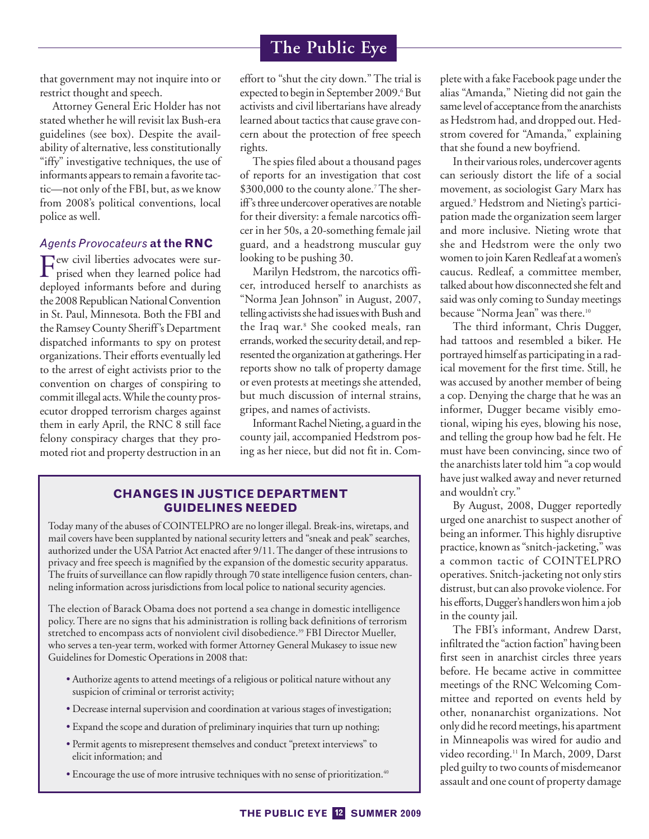that government may not inquire into or restrict thought and speech.

Attorney General Eric Holder has not stated whether he will revisit lax Bush-era guidelines (see box). Despite the availability of alternative, less constitutionally "iffy" investigative techniques, the use of informants appears to remain afavorite tactic—not only of the FBI, but, as we know from 2008's political conventions, local police as well.

## *Agents Provocateurs* **at the RNC**

Few civil liberties advocates were sur-prised when they learned police had deployed informants before and during the 2008 Republican National Convention in St. Paul, Minnesota. Both the FBI and the Ramsey County Sheriff's Department dispatched informants to spy on protest organizations. Their efforts eventually led to the arrest of eight activists prior to the convention on charges of conspiring to commit illegal acts.While the county prosecutor dropped terrorism charges against them in early April, the RNC 8 still face felony conspiracy charges that they promoted riot and property destruction in an effort to "shut the city down." The trial is expected to begin in September 2009.<sup>6</sup> But activists and civil libertarians have already learned about tactics that cause grave concern about the protection of free speech rights.

The spies filed about a thousand pages of reports for an investigation that cost \$300,000 to the county alone.<sup>7</sup> The sheriff's three undercover operatives are notable for their diversity: a female narcotics officer in her 50s, a 20-something female jail guard, and a headstrong muscular guy looking to be pushing 30.

Marilyn Hedstrom, the narcotics officer, introduced herself to anarchists as "Norma Jean Johnson" in August, 2007, telling activists she had issues with Bush and the Iraq war.<sup>8</sup> She cooked meals, ran errands,worked the security detail, and represented the organization at gatherings.Her reports show no talk of property damage or even protests at meetings she attended, but much discussion of internal strains, gripes, and names of activists.

Informant Rachel Nieting, a guard in the county jail, accompanied Hedstrom posing as her niece, but did not fit in. Com-

## **CHANGES IN JUSTICE DEPARTMENT GUIDELINES NEEDED**

Today many of the abuses of COINTELPRO are no longer illegal. Break-ins, wiretaps, and mail covers have been supplanted by national security letters and "sneak and peak" searches, authorized under the USA Patriot Act enacted after 9/11. The danger of these intrusions to privacy and free speech is magnified by the expansion of the domestic security apparatus. The fruits of surveillance can flow rapidly through 70 state intelligence fusion centers, channeling information across jurisdictions from local police to national security agencies.

The election of Barack Obama does not portend a sea change in domestic intelligence policy. There are no signs that his administration is rolling back definitions of terrorism stretched to encompass acts of nonviolent civil disobedience.<sup>39</sup> FBI Director Mueller, who serves a ten-year term, worked with former Attorney General Mukasey to issue new Guidelines for Domestic Operations in 2008 that:

- Authorize agents to attend meetings of a religious or political nature without any suspicion of criminal or terrorist activity;
- Decrease internal supervision and coordination at various stages of investigation;
- Expand the scope and duration of preliminary inquiries that turn up nothing;
- Permit agents to misrepresent themselves and conduct "pretext interviews" to elicit information; and
- Encourage the use of more intrusive techniques with no sense of prioritization.<sup>40</sup>

plete with a fake Facebook page under the alias "Amanda," Nieting did not gain the same level of acceptance from the anarchists as Hedstrom had, and dropped out. Hedstrom covered for "Amanda," explaining that she found a new boyfriend.

In their various roles, undercover agents can seriously distort the life of a social movement, as sociologist Gary Marx has argued.9 Hedstrom and Nieting's participation made the organization seem larger and more inclusive. Nieting wrote that she and Hedstrom were the only two women to join Karen Redleaf at a women's caucus. Redleaf, a committee member, talked about how disconnected shefelt and said was only coming to Sunday meetings because "Norma Jean" was there.<sup>10</sup>

The third informant, Chris Dugger, had tattoos and resembled a biker. He portrayed himself as participating in a radical movement for the first time. Still, he was accused by another member of being a cop. Denying the charge that he was an informer, Dugger became visibly emotional, wiping his eyes, blowing his nose, and telling the group how bad he felt. He must have been convincing, since two of the anarchists later told him "a cop would have just walked away and never returned and wouldn't cry."

By August, 2008, Dugger reportedly urged one anarchist to suspect another of being an informer. This highly disruptive practice, known as "snitch-jacketing," was a common tactic of COINTELPRO operatives. Snitch-jacketing not only stirs distrust, but can also provoke violence. For his efforts, Dugger's handlers won him a job in the county jail.

The FBI's informant, Andrew Darst, infiltrated the "action faction" having been first seen in anarchist circles three years before. He became active in committee meetings of the RNC Welcoming Committee and reported on events held by other, nonanarchist organizations. Not only did he record meetings, his apartment in Minneapolis was wired for audio and video recording.<sup>11</sup> In March, 2009, Darst pled guilty to two counts of misdemeanor assault and one count of property damage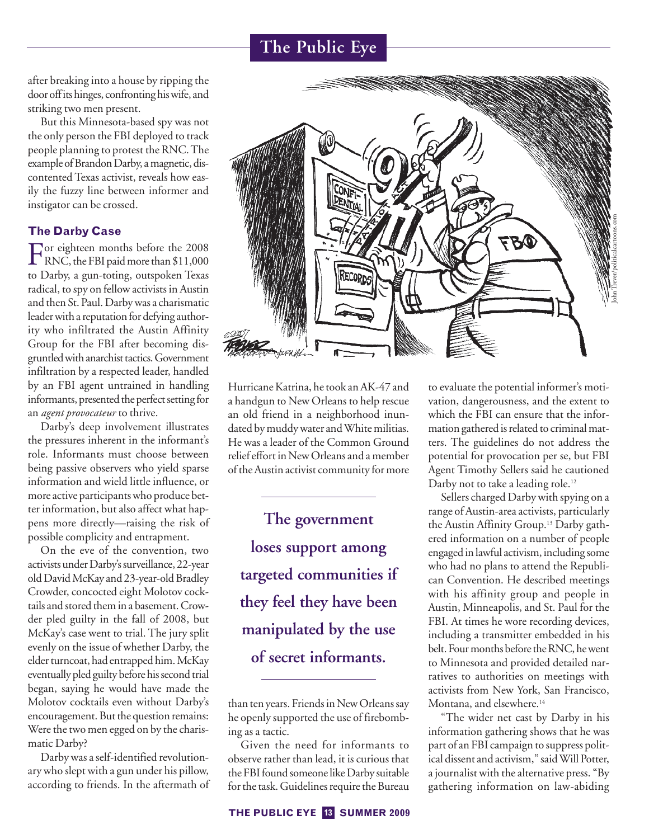after breaking into a house by ripping the door offits hinges, confronting hiswife, and striking two men present.

But this Minnesota-based spy was not the only person the FBI deployed to track people planning to protest the RNC.The example of Brandon Darby, a magnetic, discontented Texas activist, reveals how easily the fuzzy line between informer and instigator can be crossed.

# **The Darby Case**

For eighteen months before the 2008<br>RNC, the FBI paid more than \$11,000 to Darby, a gun-toting, outspoken Texas radical, to spy on fellow activists in Austin and then St. Paul. Darby was a charismatic leader with a reputation for defying authority who infiltrated the Austin Affinity Group for the FBI after becoming disgruntledwith anarchist tactics.Government infiltration by a respected leader, handled by an FBI agent untrained in handling informants, presented the perfect setting for an *agent provocateur* to thrive.

Darby's deep involvement illustrates the pressures inherent in the informant's role. Informants must choose between being passive observers who yield sparse information and wield little influence, or more active participants who produce better information, but also affect what happens more directly—raising the risk of possible complicity and entrapment.

On the eve of the convention, two activists underDarby's surveillance, 22-year old David McKay and 23-year-old Bradley Crowder, concocted eight Molotov cocktails and stored them in a basement. Crowder pled guilty in the fall of 2008, but McKay's case went to trial. The jury split evenly on the issue of whether Darby, the elder turncoat, had entrapped him. McKay eventually pled guilty before his second trial began, saying he would have made the Molotov cocktails even without Darby's encouragement. But the question remains: Were the two men egged on by the charismatic Darby?

Darby was a self-identified revolutionary who slept with a gun under his pillow, according to friends. In the aftermath of



Hurricane Katrina, he took an AK-47 and a handgun to New Orleans to help rescue an old friend in a neighborhood inundated by muddy water andWhite militias. He was a leader of the Common Ground relief effort in New Orleans and a member of the Austin activist community for more

**The government loses support among targeted communities if they feel they have been manipulated by the use of secret informants.**

than ten years. Friends in New Orleans say he openly supported the use of firebombing as a tactic.

Given the need for informants to observe rather than lead, it is curious that the FBI found someone like Darby suitable for the task. Guidelines require the Bureau to evaluate the potential informer's motivation, dangerousness, and the extent to which the FBI can ensure that the information gathered is related to criminal matters. The guidelines do not address the potential for provocation per se, but FBI Agent Timothy Sellers said he cautioned Darby not to take a leading role.<sup>12</sup>

Sellers charged Darby with spying on a range of Austin-area activists, particularly the Austin Affinity Group.13 Darby gathered information on a number of people engaged in lawful activism, including some who had no plans to attend the Republican Convention. He described meetings with his affinity group and people in Austin, Minneapolis, and St. Paul for the FBI. At times he wore recording devices, including a transmitter embedded in his belt. Four months before the RNC, he went to Minnesota and provided detailed narratives to authorities on meetings with activists from New York, San Francisco, Montana, and elsewhere.<sup>14</sup>

"The wider net cast by Darby in his information gathering shows that he was part of an FBI campaign to suppress political dissent and activism," saidWill Potter, a journalist with the alternative press. "By gathering information on law-abiding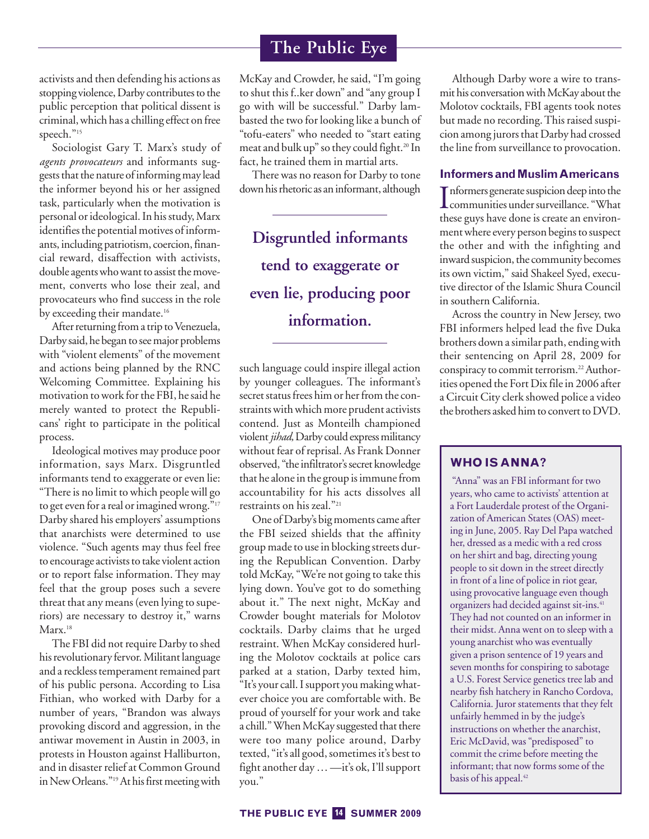activists and then defending his actions as stopping violence, Darby contributes to the public perception that political dissent is criminal, which has a chilling effect on free speech."<sup>15</sup>

Sociologist Gary T. Marx's study of *agents provocateurs* and informants suggests that the nature of informing may lead the informer beyond his or her assigned task, particularly when the motivation is personal or ideological. In his study, Marx identifies the potential motives of informants, including patriotism, coercion, financial reward, disaffection with activists, double agents who want to assist the movement, converts who lose their zeal, and provocateurs who find success in the role by exceeding their mandate.<sup>16</sup>

After returning from a trip to Venezuela, Darby said, he began to see major problems with "violent elements" of the movement and actions being planned by the RNC Welcoming Committee. Explaining his motivation to work for the FBI, he said he merely wanted to protect the Republicans' right to participate in the political process.

Ideological motives may produce poor information, says Marx. Disgruntled informants tend to exaggerate or even lie: "There is no limit to which people will go to get even for a real or imagined wrong."<sup>17</sup> Darby shared his employers' assumptions that anarchists were determined to use violence. "Such agents may thus feel free to encourage activists to take violent action or to report false information. They may feel that the group poses such a severe threat that any means (even lying to superiors) are necessary to destroy it," warns Marx.<sup>18</sup>

The FBI did not require Darby to shed his revolutionary fervor. Militant language and a reckless temperament remained part of his public persona. According to Lisa Fithian, who worked with Darby for a number of years, "Brandon was always provoking discord and aggression, in the antiwar movement in Austin in 2003, in protests in Houston against Halliburton, and in disaster relief at Common Ground in New Orleans."<sup>19</sup> At his first meeting with

McKay and Crowder, he said, "I'm going to shut this f..ker down" and "any group I go with will be successful." Darby lambasted the two for looking like a bunch of "tofu-eaters" who needed to "start eating meat and bulk up" so they could fight.20 In fact, he trained them in martial arts.

There was no reason for Darby to tone down his rhetoric as an informant, although

**Disgruntled informants tend to exaggerate or even lie, producing poor information.**

such language could inspire illegal action by younger colleagues. The informant's secret status frees him or her from the constraints with which more prudent activists contend. Just as Monteilh championed violent jihad, Darby could express militancy without fear of reprisal. As Frank Donner observed, "the infiltrator's secret knowledge that he alone in the group is immunefrom accountability for his acts dissolves all restraints on his zeal."21

One of Darby's big moments came after the FBI seized shields that the affinity group made to use in blocking streets during the Republican Convention. Darby told McKay, "We're not going to take this lying down. You've got to do something about it." The next night, McKay and Crowder bought materials for Molotov cocktails. Darby claims that he urged restraint. When McKay considered hurling the Molotov cocktails at police cars parked at a station, Darby texted him, "It's your call. I support you making whatever choice you are comfortable with. Be proud of yourself for your work and take a chill." When McKay suggested that there were too many police around, Darby texted, "it's all good, sometimes it's best to fight another day…—it's ok, I'll support you."

Although Darby wore a wire to transmit his conversation with McKay about the Molotov cocktails, FBI agents took notes but made no recording.This raised suspicion among jurors that Darby had crossed the line from surveillance to provocation.

## **Informers and MuslimAmericans**

Informers generate suspicion deep into the<br>communities under surveillance. "What Informers generate suspicion deep into the these guys have done is create an environment where every person begins to suspect the other and with the infighting and inward suspicion, the community becomes its own victim," said Shakeel Syed, executive director of the Islamic Shura Council in southern California.

Across the country in New Jersey, two FBI informers helped lead the five Duka brothers down a similar path, ending with their sentencing on April 28, 2009 for conspiracy to commit terrorism.<sup>22</sup> Authorities opened the Fort Dix file in 2006 after a Circuit City clerk showed police a video the brothers asked him to convert to DVD.

# **WHO IS ANNA?**

"Anna" was an FBI informant for two years, who came to activists' attention at a Fort Lauderdale protest of the Organization of American States (OAS) meeting in June, 2005. Ray Del Papa watched her, dressed as a medic with a red cross on her shirt and bag, directing young people to sit down in the street directly in front of a line of police in riot gear, using provocative language even though organizers had decided against sit-ins.41 They had not counted on an informer in their midst. Anna went on to sleep with a young anarchist who was eventually given a prison sentence of 19 years and seven months for conspiring to sabotage a U.S. Forest Service genetics tree lab and nearby fish hatchery in Rancho Cordova, California. Juror statements that they felt unfairly hemmed in by the judge's instructions on whether the anarchist, Eric McDavid, was "predisposed" to commit the crime before meeting the informant; that now forms some of the basis of his appeal.<sup>42</sup>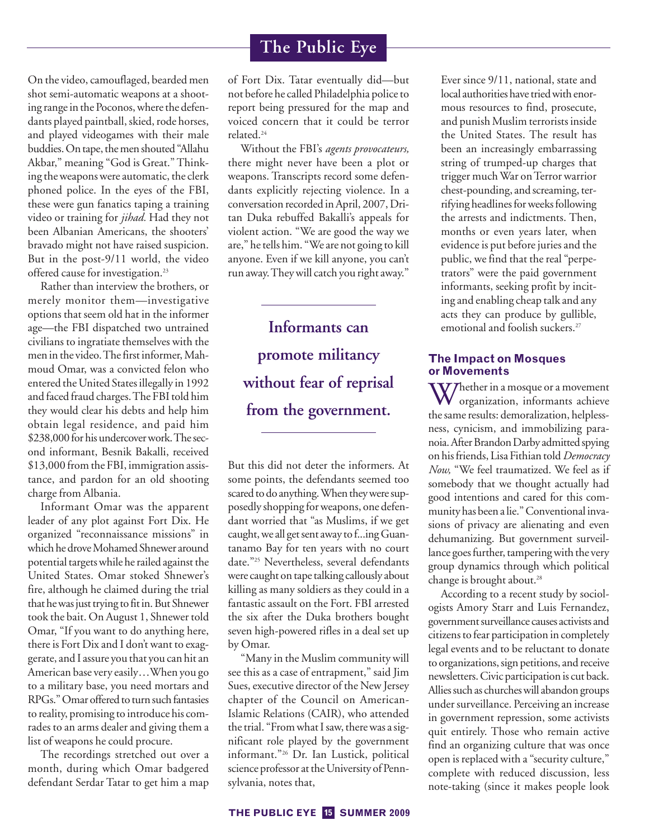On the video, camouflaged, bearded men shot semi-automatic weapons at a shooting range in the Poconos, where the defendants played paintball, skied, rode horses, and played videogames with their male buddies.On tape, themen shouted "Allahu Akbar," meaning "God is Great." Thinking the weapons were automatic, the clerk phoned police. In the eyes of the FBI, these were gun fanatics taping a training video or training for *jihad.* Had they not been Albanian Americans, the shooters' bravado might not have raised suspicion. But in the post-9/11 world, the video offered cause for investigation.<sup>23</sup>

Rather than interview the brothers, or merely monitor them—investigative options that seem old hat in the informer age—the FBI dispatched two untrained civilians to ingratiate themselves with the men in the video. The first informer, Mahmoud Omar, was a convicted felon who entered the United States illegally in 1992 and faced fraud charges.The FBI told him they would clear his debts and help him obtain legal residence, and paid him \$238,000 for his undercover work. The second informant, Besnik Bakalli, received \$13,000 from the FBI, immigration assistance, and pardon for an old shooting charge from Albania.

Informant Omar was the apparent leader of any plot against Fort Dix. He organized "reconnaissance missions" in which he drove Mohamed Shnewer around potential targets while he railed against the United States. Omar stoked Shnewer's fire, although he claimed during the trial that he was just trying to fit in. But Shnewer took the bait. On August 1, Shnewer told Omar, "If you want to do anything here, there is Fort Dix and I don't want to exaggerate, and I assure you that you can hit an American base very easily…When you go to a military base, you need mortars and RPGs." Omar offered to turn such fantasies to reality, promising to introduce his comrades to an arms dealer and giving them a list of weapons he could procure.

The recordings stretched out over a month, during which Omar badgered defendant Serdar Tatar to get him a map of Fort Dix. Tatar eventually did—but not before he called Philadelphia police to report being pressured for the map and voiced concern that it could be terror related.24

Without the FBI's *agents provocateurs,* there might never have been a plot or weapons. Transcripts record some defendants explicitly rejecting violence. In a conversation recorded in April, 2007, Dritan Duka rebuffed Bakalli's appeals for violent action. "We are good the way we are," he tells him. "We are not going to kill anyone. Even if we kill anyone, you can't run away.They will catch you right away."

**Informants can promote militancy without fear of reprisal from the government.**

But this did not deter the informers. At some points, the defendants seemed too scared to do anything.When theywere supposedly shopping for weapons, one defendant worried that "as Muslims, if we get caught, we all get sent away tof...ing Guantanamo Bay for ten years with no court date."25 Nevertheless, several defendants were caught on tape talking callously about killing as many soldiers as they could in a fantastic assault on the Fort. FBI arrested the six after the Duka brothers bought seven high-powered rifles in a deal set up by Omar.

"Many in the Muslim community will see this as a case of entrapment," said Jim Sues, executive director of the New Jersey chapter of the Council on American-Islamic Relations (CAIR), who attended the trial. "From what I saw, there was a significant role played by the government informant."26 Dr. Ian Lustick, political science professor at the University of Pennsylvania, notes that,

Ever since 9/11, national, state and local authorities have tried with enormous resources to find, prosecute, and punish Muslim terrorists inside the United States. The result has been an increasingly embarrassing string of trumped-up charges that trigger muchWar onTerror warrior chest-pounding, and screaming, terrifying headlines for weeks following the arrests and indictments. Then, months or even years later, when evidence is put before juries and the public, we find that the real "perpetrators" were the paid government informants, seeking profit by inciting and enabling cheap talk and any acts they can produce by gullible, emotional and foolish suckers.<sup>27</sup>

## **The Impact on Mosques or Movements**

W/hether in a mosque or a movement organization, informants achieve the same results: demoralization, helplessness, cynicism, and immobilizing paranoia.After BrandonDarby admitted spying on hisfriends, Lisa Fithian told*Democracy Now,* "We feel traumatized. We feel as if somebody that we thought actually had good intentions and cared for this community has been a lie."Conventional invasions of privacy are alienating and even dehumanizing. But government surveillance goes further, tampering with the very group dynamics through which political change is brought about.<sup>28</sup>

According to a recent study by sociologists Amory Starr and Luis Fernandez, government surveillance causes activists and citizens tofear participation in completely legal events and to be reluctant to donate to organizations, sign petitions, and receive newsletters.Civic participation is cut back. Allies such as churcheswill abandon groups under surveillance. Perceiving an increase in government repression, some activists quit entirely. Those who remain active find an organizing culture that was once open is replaced with a "security culture," complete with reduced discussion, less note-taking (since it makes people look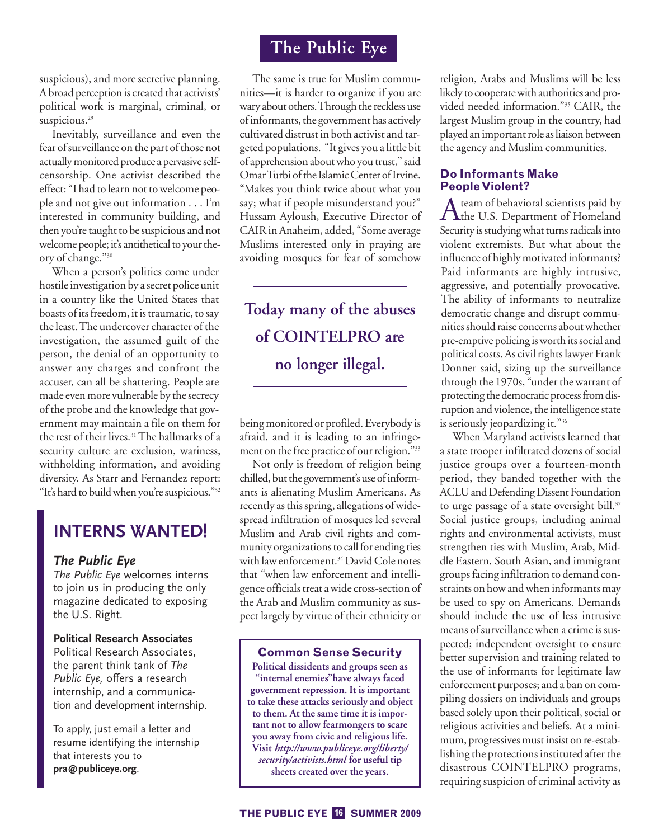suspicious), and more secretive planning. A broad perception is created that activists' political work is marginal, criminal, or suspicious.<sup>29</sup>

Inevitably, surveillance and even the fear of surveillance on the part of those not actuallymonitored produce a pervasive selfcensorship. One activist described the effect: "I had to learn not to welcome people and not give out information . . . I'm interested in community building, and then you're taught to be suspicious and not welcome people; it's antithetical to your theory of change."30

When a person's politics come under hostile investigation by a secret police unit in a country like the United States that boasts of itsfreedom, it is traumatic, to say the least.The undercover character of the investigation, the assumed guilt of the person, the denial of an opportunity to answer any charges and confront the accuser, can all be shattering. People are made even more vulnerable by the secrecy of the probe and the knowledge that government may maintain a file on them for the rest of their lives.<sup>31</sup> The hallmarks of a security culture are exclusion, wariness, withholding information, and avoiding diversity. As Starr and Fernandez report: "It's hard to buildwhen you're suspicious."32

# **INTERNS WANTED! INTERNS WANTED!**

## *The Public Eye*

*The Public Eye* welcomes interns to join us in producing the only magazine dedicated to exposing the U.S. Right.

**Political Research Associates** Political Research Associates, the parent think tank of *The Public Eye,* offers a research internship, and a communication and development internship.

To apply, just email a letter and resume identifying the internship that interests you to **pra@publiceye.org**.

The same is true for Muslim communities—it is harder to organize if you are wary about others.Through the reckless use of informants, the government has actively cultivated distrust in both activist and targeted populations. "It gives you a little bit of apprehension about who you trust," said Omar Turbi of the Islamic Center of Irvine. "Makes you think twice about what you say; what if people misunderstand you?" Hussam Ayloush, Executive Director of CAIR in Anaheim, added, "Some average Muslims interested only in praying are avoiding mosques for fear of somehow

# **Today many of the abuses of COINTELPRO are no longer illegal.**

being monitored or profiled. Everybody is afraid, and it is leading to an infringement on the free practice of our religion."33

Not only is freedom of religion being chilled, but the government's use of informants is alienating Muslim Americans. As recently as this spring, allegations of widespread infiltration of mosques led several Muslim and Arab civil rights and community organizations to call for ending ties with law enforcement.<sup>34</sup> David Cole notes that "when law enforcement and intelligence officials treat a wide cross-section of the Arab and Muslim community as suspect largely by virtue of their ethnicity or

### **Common Sense Security**

**Political dissidents and groups seen as "internal enemies"have always faced government repression. It is important to take these attacks seriously and object to them. At the same time it is important not to allow fearmongers to scare you away from civic and religious life. Visit** *http://www.publiceye.org/liberty/ security/activists.html* **for useful tip sheets created over the years.**

religion, Arabs and Muslims will be less likely to cooperatewith authorities and provided needed information."35 CAIR, the largest Muslim group in the country, had played an important role as liaison between the agency and Muslim communities.

### **Do Informants Make PeopleViolent?**

A team of behavioral scientists paid by<br>the U.S. Department of Homeland Security is studyingwhat turns radicals into violent extremists. But what about the influence of highly motivated informants? Paid informants are highly intrusive, aggressive, and potentially provocative. The ability of informants to neutralize democratic change and disrupt communities should raise concerns about whether pre-emptive policing is worth its social and political costs. As civil rights lawyer Frank Donner said, sizing up the surveillance through the 1970s, "under the warrant of protecting the democratic process from disruption and violence, the intelligence state is seriously jeopardizing it."<sup>36</sup>

When Maryland activists learned that a state trooper infiltrated dozens of social justice groups over a fourteen-month period, they banded together with the ACLU and Defending Dissent Foundation to urge passage of a state oversight bill.<sup>37</sup> Social justice groups, including animal rights and environmental activists, must strengthen ties with Muslim, Arab, Middle Eastern, South Asian, and immigrant groups facing infiltration to demand constraints on how and when informants may be used to spy on Americans. Demands should include the use of less intrusive means of surveillance when a crime is suspected; independent oversight to ensure better supervision and training related to the use of informants for legitimate law enforcement purposes; and a ban on compiling dossiers on individuals and groups based solely upon their political, social or religious activities and beliefs. At a minimum, progressives must insist on re-establishing the protections instituted after the disastrous COINTELPRO programs, requiring suspicion of criminal activity as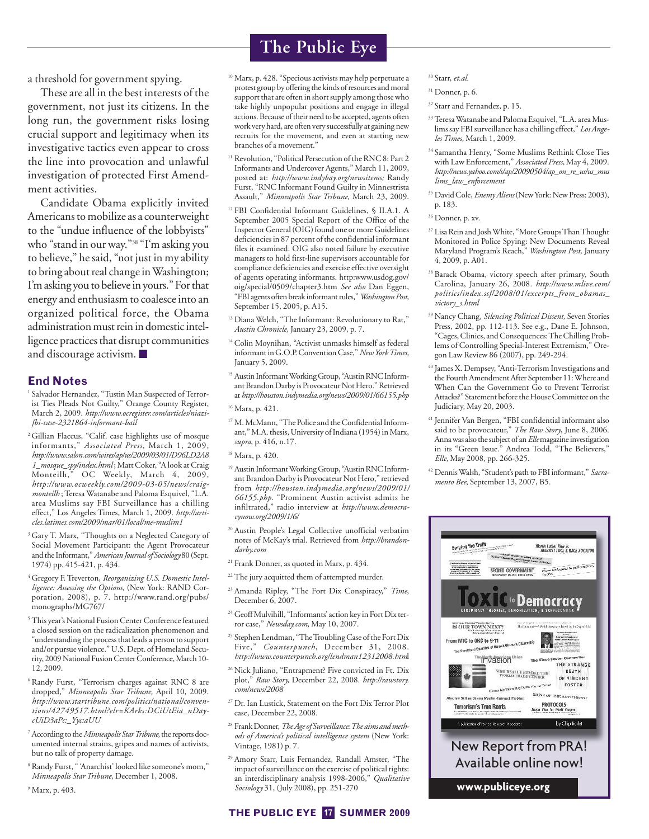a threshold for government spying.

These are all in the best interests of the government, not just its citizens. In the long run, the government risks losing crucial support and legitimacy when its investigative tactics even appear to cross the line into provocation and unlawful investigation of protected First Amendment activities.

Candidate Obama explicitly invited Americans to mobilize as a counterweight to the "undue influence of the lobbyists" who "stand in our way."38 "I'm asking you to believe," he said, "not just in my ability to bring about real change inWashington; I'm asking you to believe in yours." For that energy and enthusiasm to coalesce into an organized political force, the Obama administration must rein in domestic intelligence practices that disrupt communities and discourage activism. ■

### **End Notes**

<sup>1</sup> Salvador Hernandez, "Tustin Man Suspected of Terrorist Ties Pleads Not Guilty," Orange County Register, March 2, 2009. *http://www.ocregister.com/articles/niazifbi-case-2321864-informant-bail*

<sup>2</sup> Gillian Flaccus, "Calif. case highlights use of mosque informants," *Associated Press*, March 1, 2009, *http://www.salon.com/wires/ap/us/2009/03/01/D96LD2A8 1\_mosque\_spy/index.html* ; Matt Coker, "A look at Craig Monteilh," OC Weekly, March 4, 2009, *http://www.ocweekly.com/2009-03-05/news/craigmonteilh* ; Teresa Watanabe and Paloma Esquivel, "L.A. area Muslims say FBI Surveillance has a chilling effect," Los Angeles Times, March 1, 2009. *http://articles.latimes.com/2009/mar/01/local/me-muslim1*

- <sup>3</sup> Gary T. Marx, "Thoughts on a Neglected Category of Social Movement Participant: the Agent Provocateur and the Informant,"*American Journal of Sociology* 80 (Sept. 1974) pp. 415-421, p. 434.
- <sup>4</sup> Gregory F. Treverton, *Reorganizing U.S. Domestic Intelligence: Assessing the Options,* (New York: RAND Corporation, 2008), p. 7. http://www.rand.org/pubs/ monographs/MG767/
- <sup>5</sup> This year's National Fusion Center Conference featured a closed session on the radicalization phenomenon and "understanding the process that leads a person to support and/or pursue violence." U.S. Dept. of Homeland Security, 2009 National Fusion Center Conference, March 10-12, 2009.

<sup>6</sup> Randy Furst, "Terrorism charges against RNC 8 are dropped," *Minneapolis Star Tribune,* April 10, 2009. *http://www.startribune.com/politics/national/conventions/42749517.html?elr=KArks:DCiUtEia\_nDaycUiD3aPc:\_Yyc:aUU*

- <sup>7</sup> According to the*Minneapolis StarTribune*, the reports documented internal strains, gripes and names of activists, but no talk of property damage.
- <sup>8</sup> Randy Furst, " 'Anarchist' looked like someone's mom," *Minneapolis Star Tribune*, December 1, 2008.

<sup>9</sup> Marx, p. 403.

# **The Public Eye**

- <sup>10</sup> Marx, p. 428. "Specious activists may help perpetuate a protest group by offering the kinds of resources and moral support that are often in short supply among those who take highly unpopular positions and engage in illegal actions. Because of their need to be accepted, agents often work very hard, are often very successfully at gaining new recruits for the movement, and even at starting new branches of a movement."
- <sup>11</sup> Revolution, "Political Persecution of the RNC 8: Part 2 Informants and Undercover Agents," March 11, 2009, posted at: *http://www.indybay.org/newsitems;* Randy Furst, "RNC Informant Found Guilty in Minnestrista Assault," *Minneapolis Star Tribune,* March 23, 2009.
- <sup>12</sup> FBI Confidential Informant Guidelines, § II.A.1. A September 2005 Special Report of the Office of the Inspector General (OIG) found one or more Guidelines deficiencies in 87 percent of the confidential informant files it examined. OIG also noted failure by executive managers to hold first-line supervisors accountable for compliance deficiencies and exercise effective oversight of agents operating informants. http:www.usdog.gov/ oig/special/0509/chapter3.htm *See also* Dan Eggen, "FBI agents often breakinformant rules,"*Washington Post,* September 15, 2005, p. A15.
- <sup>13</sup> Diana Welch, "The Informant: Revolutionary to Rat," *Austin Chronicle,* January 23, 2009, p. 7.
- <sup>14</sup> Colin Moynihan, "Activist unmasks himself as federal informant in G.O.P.ConventionCase,"*NewYorkTimes,* January 5, 2009.
- <sup>15</sup> Austin InformantWorking Group, "AustinRNC Informant Brandon Darby is Provocateur Not Hero." Retrieved at *http://houston.indymedia.org/news/2009/01/66155.php*
- <sup>16</sup> Marx, p. 421.
- <sup>17</sup> M.McMann, "The Police and the Confidential Informant," M.A. thesis, University of Indiana (1954) in Marx, *supra*, p. 416, n.17.
- <sup>18</sup> Marx, p. 420.
- <sup>19</sup> Austin Informant Working Group, "Austin RNC Informant Brandon Darby is Provocateur Not Hero," retrieved from *http://houston.indymedia.org/news/2009/01/ 66155.php*. "Prominent Austin activist admits he infiltrated," radio interview at *http://www.democracynow.org/2009/1/6/*
- <sup>20</sup> Austin People's Legal Collective unofficial verbatim notes of McKay's trial. Retrieved from *http://brandondarby.com*
- <sup>21</sup> Frank Donner, as quoted in Marx, p. 434.
- <sup>22</sup> The jury acquitted them of attempted murder.
- <sup>23</sup> Amanda Ripley, "The Fort Dix Conspiracy," *Time*, December 6, 2007.
- <sup>24</sup> GeoffMulvihill, "Informants' action key in Fort Dix terror case," *Newsday.com*, May 10, 2007.
- <sup>25</sup> Stephen Lendman, "The Troubling Case of the Fort Dix Five," *Counterpunch*, December 31, 2008. *http://www.counterpunch.org/lendman12312008.htm*l
- <sup>26</sup> Nick Juliano, "Entrapment? Five convicted in Ft. Dix plot," *Raw Story,* December 22, 2008. *http://rawstory. com/news/2008*
- <sup>27</sup> Dr. Ian Lustick, Statement on the Fort Dix Terror Plot case, December 22, 2008.
- <sup>28</sup> FrankDonner,*The Age of Surveillance:The aims and methods of America's political intelligence system* (New York: Vintage, 1981) p. 7.
- <sup>29</sup> Amory Starr, Luis Fernandez, Randall Amster, "The impact of surveillance on the exercise of political rights: an interdisciplinary analysis 1998-2006," *Qualitative Sociology* 31, (July 2008), pp. 251-270

### <sup>30</sup> Starr, *et.al.*

- $31$  Donner, p. 6.
- <sup>32</sup> Starr and Fernandez, p. 15.
- <sup>33</sup> Teresa Watanabe and Paloma Esquivel, "L.A. area Muslims say FBI surveillance has a chilling effect," *Los Angeles Times,* March 1, 2009.
- <sup>34</sup> Samantha Henry, "Some Muslims Rethink Close Ties with Law Enforcement," *Associated Press,* May 4, 2009. *http://news.yahoo.com/s/ap/20090504/ap\_on\_re\_us/us\_mus lims\_law\_enforcement*
- <sup>35</sup> David Cole, *Enemy Aliens*(New York: New Press: 2003), p. 183.
- <sup>36</sup> Donner, p. xv.
- <sup>37</sup> Lisa Rein and Josh White, "More Groups Than Thought Monitored in Police Spying: New Documents Reveal Maryland Program's Reach," *Washington Post,* January 4, 2009, p. A01.
- <sup>38</sup> Barack Obama, victory speech after primary, South Carolina, January 26, 2008. *http://www.mlive.com/ politics/index.ssf/2008/01/excerpts\_from\_obamas\_ victory\_s.html*
- <sup>39</sup> Nancy Chang, *Silencing Political Dissent,* Seven Stories Press, 2002, pp. 112-113. See e.g., Dane E. Johnson, "Cages, Clinics, and Consequences:The Chilling Problems of Controlling Special-Interest Extremism," Oregon Law Review 86 (2007), pp. 249-294.
- <sup>40</sup> James X. Dempsey, "Anti-Terrorism Investigations and the Fourth Amendment After September 11:Where and When Can the Government Go to Prevent Terrorist Attacks?" Statement before the House Committee on the Judiciary, May 20, 2003.
- <sup>41</sup> Jennifer Van Bergen, "FBI confidential informant also said to be provocateur," *The Raw Story*, June 8, 2006. Annawas also the subject of an*Elle*magazineinvestigation in its "Green Issue." Andrea Todd, "The Believers," *Elle*, May 2008, pp. 266-325.
- <sup>42</sup> DennisWalsh, "Student's path to FBI informant," *Sacramento Bee*, September 13, 2007, B5.



### **THE PUBLIC EYE 17 SUMMER 2009**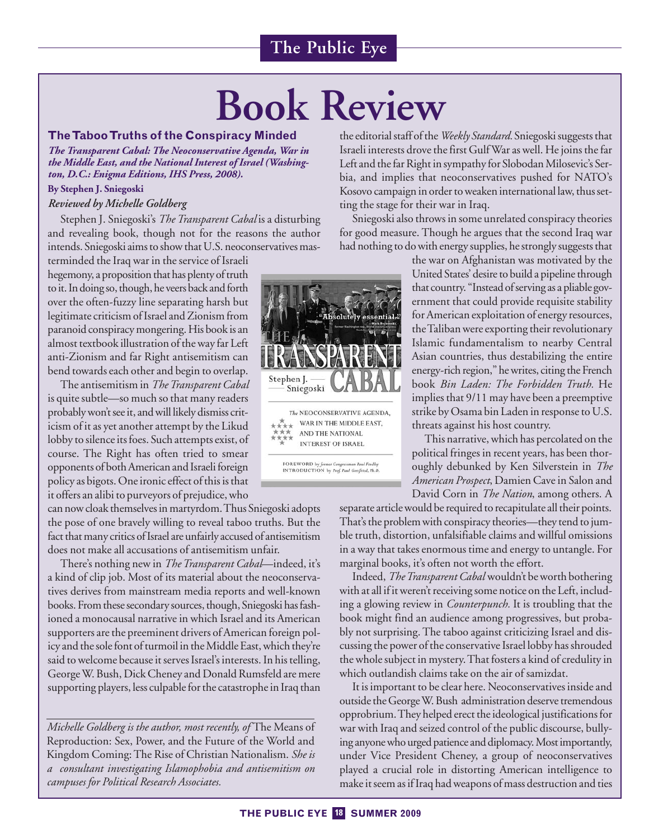# **Book Review**

### **TheTabooTruths of the Conspiracy Minded**

*The Transparent Cabal: The Neoconservative Agenda, War in the Middle East, and the National Interest of Israel (Washington, D.C.: Enigma Editions, IHS Press, 2008).*

### **By Stephen J. Sniegoski**

### *Reviewed by Michelle Goldberg*

Stephen J. Sniegoski's *The Transparent Cabal* is a disturbing and revealing book, though not for the reasons the author intends. Sniegoski aims to show that U.S. neoconservatives mas-

terminded the Iraq war in the service of Israeli hegemony, a proposition that has plenty of truth to it. In doing so, though, he veers back and forth over the often-fuzzy line separating harsh but legitimate criticism of Israel and Zionism from paranoid conspiracy mongering. His book is an almost textbook illustration of the way far Left anti-Zionism and far Right antisemitism can bend towards each other and begin to overlap.

The antisemitism in *TheTransparent Cabal* is quite subtle—so much so that many readers probably won't see it, and will likely dismiss criticism of it as yet another attempt by the Likud lobby to silence its foes. Such attempts exist, of course. The Right has often tried to smear opponents of both American and Israeli foreign policy as bigots. One ironic effect of this is that it offers an alibi to purveyors of prejudice, who

can now cloak themselves in martyrdom.Thus Sniegoski adopts the pose of one bravely willing to reveal taboo truths. But the fact that many critics of Israel are unfairly accused of antisemitism does not make all accusations of antisemitism unfair.

There's nothing new in *The Transparent Cabal*—indeed, it's a kind of clip job. Most of its material about the neoconservatives derives from mainstream media reports and well-known books. From these secondary sources, though, Sniegoski has fashioned a monocausal narrative in which Israel and its American supporters are the preeminent drivers of American foreign policy and the sole font of turmoil in the Middle East, which they're said to welcome because it serves Israel's interests. In his telling, GeorgeW. Bush, Dick Cheney and Donald Rumsfeld are mere supporting players, less culpable for the catastrophe in Iraq than

*Michelle Goldberg is the author, most recently, of* The Means of Reproduction: Sex, Power, and the Future of the World and Kingdom Coming: The Rise of Christian Nationalism. *She is a consultant investigating Islamophobia and antisemitism on campuses for Political Research Associates.*



the editorial staff of the*Weekly Standard.* Sniegoski suggests that Israeli interests drove the first GulfWar as well. He joins the far Left and the far Right in sympathy for Slobodan Milosevic's Serbia, and implies that neoconservatives pushed for NATO's Kosovo campaign in order to weaken international law, thus setting the stage for their war in Iraq.

Sniegoski also throws in some unrelated conspiracy theories for good measure. Though he argues that the second Iraq war had nothing to do with energy supplies, he strongly suggests that

> the war on Afghanistan was motivated by the United States' desire to build a pipeline through that country. "Instead of serving as a pliable government that could provide requisite stability for American exploitation of energy resources, theTaliban were exporting their revolutionary Islamic fundamentalism to nearby Central Asian countries, thus destabilizing the entire energy-rich region," he writes, citing the French book *Bin Laden: The Forbidden Truth.* He implies that 9/11 may have been a preemptive strike by Osama bin Laden in response to U.S. threats against his host country.

> This narrative, which has percolated on the political fringes in recent years, has been thoroughly debunked by Ken Silverstein in *The American Prospect*, Damien Cave in Salon and David Corn in *The Nation*, among others. A

separate article would be required to recapitulate all their points. That's the problem with conspiracy theories—they tend to jumble truth, distortion, unfalsifiable claims and willful omissions in a way that takes enormous time and energy to untangle. For marginal books, it's often not worth the effort.

Indeed,*TheTransparent Cabal* wouldn't be worth bothering with at all if it weren't receiving some notice on the Left, including a glowing review in *Counterpunch.* It is troubling that the book might find an audience among progressives, but probably not surprising. The taboo against criticizing Israel and discussing the power of the conservative Israel lobby has shrouded the whole subject in mystery.That fosters a kind of credulity in which outlandish claims take on the air of samizdat.

It is important to be clear here. Neoconservatives inside and outside the GeorgeW. Bush administration deserve tremendous opprobrium.They helped erect the ideological justificationsfor war with Iraq and seized control of the public discourse, bullying anyonewho urged patience and diplomacy.Mostimportantly, under Vice President Cheney, a group of neoconservatives played a crucial role in distorting American intelligence to make it seem as if Iraq had weapons of mass destruction and ties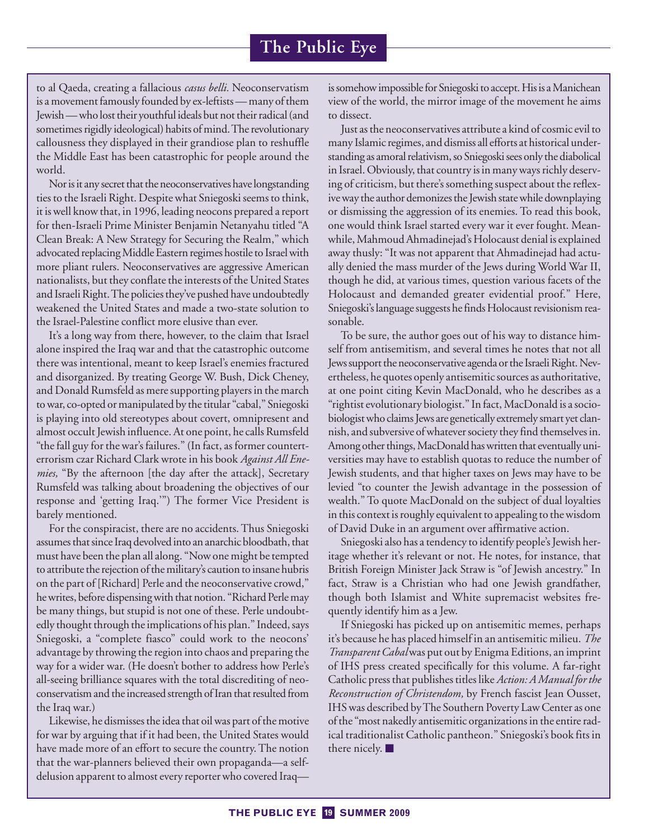to al Qaeda, creating a fallacious *casus belli.* Neoconservatism is a movement famously founded by ex-leftists — many of them Jewish— who lost their youthful ideals but not their radical (and sometimes rigidly ideological) habits of mind.The revolutionary callousness they displayed in their grandiose plan to reshuffle the Middle East has been catastrophic for people around the world.

Nor is it any secret that the neoconservatives have longstanding ties to the Israeli Right. Despite what Sniegoski seems to think, it is well know that, in 1996, leading neocons prepared a report for then-Israeli Prime Minister Benjamin Netanyahu titled "A Clean Break: A New Strategy for Securing the Realm," which advocated replacingMiddle Eastern regimes hostile to Israel with more pliant rulers. Neoconservatives are aggressive American nationalists, but they conflate the interests of the United States and Israeli Right.The policies they've pushed have undoubtedly weakened the United States and made a two-state solution to the Israel-Palestine conflict more elusive than ever.

It's a long way from there, however, to the claim that Israel alone inspired the Iraq war and that the catastrophic outcome there was intentional, meant to keep Israel's enemies fractured and disorganized. By treating George W. Bush, Dick Cheney, and Donald Rumsfeld as mere supporting players in the march to war, co-opted or manipulated by the titular "cabal," Sniegoski is playing into old stereotypes about covert, omnipresent and almost occult Jewish influence. At one point, he calls Rumsfeld "the fall guy for the war's failures." (In fact, as former counterterrorism czar Richard Clark wrote in his book *Against All Enemies,* "By the afternoon [the day after the attack], Secretary Rumsfeld was talking about broadening the objectives of our response and 'getting Iraq.'") The former Vice President is barely mentioned.

For the conspiracist, there are no accidents. Thus Sniegoski assumes that since Iraq devolved into an anarchic bloodbath, that must have been the plan all along. "Now one might be tempted to attribute the rejection of the military's caution to insane hubris on the part of [Richard] Perle and the neoconservative crowd," he writes, before dispensing with that notion. "Richard Perle may be many things, but stupid is not one of these. Perle undoubtedly thought through the implications of his plan." Indeed, says Sniegoski, a "complete fiasco" could work to the neocons' advantage by throwing the region into chaos and preparing the way for a wider war. (He doesn't bother to address how Perle's all-seeing brilliance squares with the total discrediting of neoconservatism and the increased strength of Iran that resulted from the Iraq war.)

Likewise, he dismisses the idea that oil was part of the motive for war by arguing that if it had been, the United States would have made more of an effort to secure the country. The notion that the war-planners believed their own propaganda—a selfdelusion apparent to almost every reporter who covered Iraqis somehow impossible for Sniegoski to accept. His is a Manichean view of the world, the mirror image of the movement he aims to dissect.

Just as the neoconservatives attribute a kind of cosmic evil to many Islamic regimes, and dismiss all efforts at historical understanding as amoral relativism, so Sniegoski sees only the diabolical in Israel. Obviously, that country is in many ways richly deserving of criticism, but there's something suspect about the reflexive way the author demonizes the Jewish state while downplaying or dismissing the aggression of its enemies. To read this book, one would think Israel started every war it ever fought. Meanwhile, Mahmoud Ahmadinejad's Holocaust denial is explained away thusly: "It was not apparent that Ahmadinejad had actually denied the mass murder of the Jews during World War II, though he did, at various times, question various facets of the Holocaust and demanded greater evidential proof." Here, Sniegoski's language suggests hefinds Holocaust revisionism reasonable.

To be sure, the author goes out of his way to distance himself from antisemitism, and several times he notes that not all Jews support the neoconservative agenda or the Israeli Right. Nevertheless, he quotes openly antisemitic sources as authoritative, at one point citing Kevin MacDonald, who he describes as a "rightist evolutionary biologist." In fact, MacDonald is a sociobiologistwho claims Jews are genetically extremely smart yet clannish, and subversive of whatever society theyfind themselves in. Among other things, MacDonald has written that eventually universities may have to establish quotas to reduce the number of Jewish students, and that higher taxes on Jews may have to be levied "to counter the Jewish advantage in the possession of wealth." To quote MacDonald on the subject of dual loyalties in this context is roughly equivalent to appealing to the wisdom of David Duke in an argument over affirmative action.

Sniegoski also has a tendency to identify people's Jewish heritage whether it's relevant or not. He notes, for instance, that British Foreign Minister Jack Straw is "of Jewish ancestry." In fact, Straw is a Christian who had one Jewish grandfather, though both Islamist and White supremacist websites frequently identify him as a Jew.

If Sniegoski has picked up on antisemitic memes, perhaps it's because he has placed himself in an antisemitic milieu. *The Transparent Cabal*was put out by Enigma Editions, an imprint of IHS press created specifically for this volume. A far-right Catholic press that publishes titles like *Action: A Manual for the Reconstruction of Christendom,* by French fascist Jean Ousset, IHS was described byThe Southern Poverty Law Center as one of the "most nakedly antisemitic organizations in the entire radical traditionalist Catholic pantheon." Sniegoski's book fits in there nicely. ■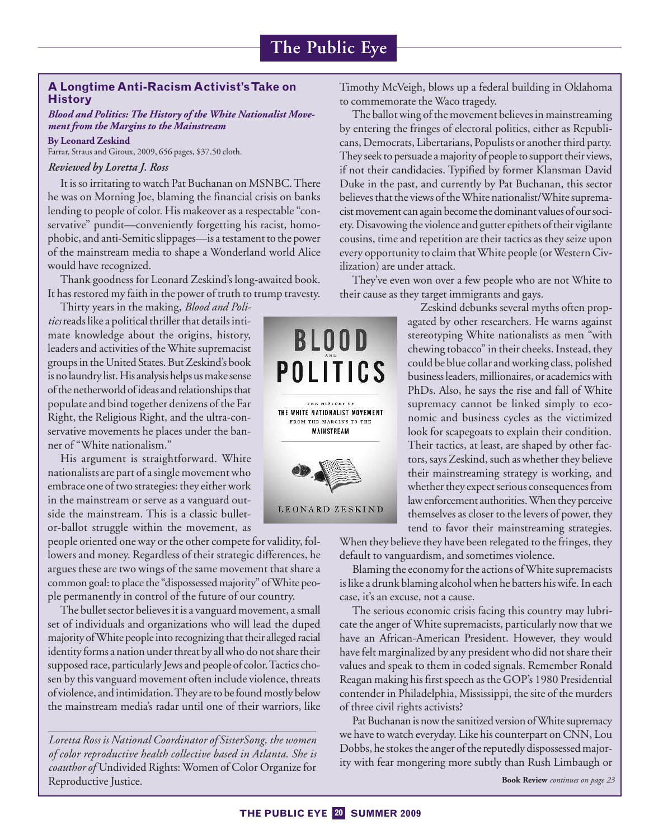# **A Longtime Anti-Racism Activist'sTake on History**

### *Blood and Politics: The History of the White Nationalist Movement from the Margins to the Mainstream*

Farrar, Straus and Giroux, 2009, 656 pages, \$37.50 cloth.

### *Reviewed by Loretta J. Ross*

**By Leonard Zeskind**

It is so irritating to watch Pat Buchanan on MSNBC.There he was on Morning Joe, blaming the financial crisis on banks lending to people of color. His makeover as a respectable "conservative" pundit—conveniently forgetting his racist, homophobic, and anti-Semitic slippages—is a testament to the power of the mainstream media to shape a Wonderland world Alice would have recognized.

Thank goodness for Leonard Zeskind's long-awaited book. It has restored my faith in the power of truth to trump travesty.

Thirty years in the making, *Blood and Politics*reads like a political thriller that details intimate knowledge about the origins, history, leaders and activities of the White supremacist groups in the United States. But Zeskind's book is no laundry list. His analysis helps us make sense of the netherworld of ideas and relationships that populate and bind together denizens of the Far Right, the Religious Right, and the ultra-conservative movements he places under the banner of "White nationalism."

His argument is straightforward. White nationalists are part of a single movement who embrace one of two strategies: they either work in the mainstream or serve as a vanguard outside the mainstream. This is a classic bulletor-ballot struggle within the movement, as

people oriented one way or the other compete for validity, followers and money. Regardless of their strategic differences, he argues these are two wings of the same movement that share a common goal: to place the "dispossessed majority" ofWhite people permanently in control of the future of our country.

The bullet sector believes it is a vanguard movement, a small set of individuals and organizations who will lead the duped majority ofWhite people into recognizing that their alleged racial identity forms a nation under threat by all who do not share their supposed race, particularly Jews and people of color.Tactics chosen by this vanguard movement often include violence, threats of violence, and intimidation. They are to be found mostly below the mainstream media's radar until one of their warriors, like

*Loretta Ross is National Coordinator of SisterSong, the women of color reproductive health collective based in Atlanta. She is coauthor of* Undivided Rights: Women of Color Organize for Reproductive Justice. **Book Review** *continues on page 23*



Timothy McVeigh, blows up a federal building in Oklahoma to commemorate the Waco tragedy.

The ballot wing of the movement believes in mainstreaming by entering the fringes of electoral politics, either as Republicans, Democrats, Libertarians, Populists or another third party. They seek to persuade a majority of people to support their views, if not their candidacies. Typified by former Klansman David Duke in the past, and currently by Pat Buchanan, this sector believes that the views of theWhite nationalist/White supremacistmovement can again become the dominant values of our society. Disavowing the violence and gutter epithets of their vigilante cousins, time and repetition are their tactics as they seize upon every opportunity to claim that White people (or Western Civilization) are under attack.

They've even won over a few people who are not White to their cause as they target immigrants and gays.

> Zeskind debunks several myths often propagated by other researchers. He warns against stereotyping White nationalists as men "with chewing tobacco" in their cheeks. Instead, they could be blue collar and working class, polished business leaders, millionaires, or academics with PhDs. Also, he says the rise and fall of White supremacy cannot be linked simply to economic and business cycles as the victimized look for scapegoats to explain their condition. Their tactics, at least, are shaped by other factors, says Zeskind, such as whether they believe their mainstreaming strategy is working, and whether they expect serious consequences from law enforcement authorities.When they perceive themselves as closer to the levers of power, they tend to favor their mainstreaming strategies.

When they believe they have been relegated to the fringes, they default to vanguardism, and sometimes violence.

Blaming the economy for the actions ofWhite supremacists is like a drunk blaming alcohol when he batters his wife. In each case, it's an excuse, not a cause.

The serious economic crisis facing this country may lubricate the anger of White supremacists, particularly now that we have an African-American President. However, they would have felt marginalized by any president who did not share their values and speak to them in coded signals. Remember Ronald Reagan making his first speech as the GOP's 1980 Presidential contender in Philadelphia, Mississippi, the site of the murders of three civil rights activists?

Pat Buchanan is now the sanitized version ofWhite supremacy we have to watch everyday. Like his counterpart on CNN, Lou Dobbs, he stokes the anger of the reputedly dispossessed majority with fear mongering more subtly than Rush Limbaugh or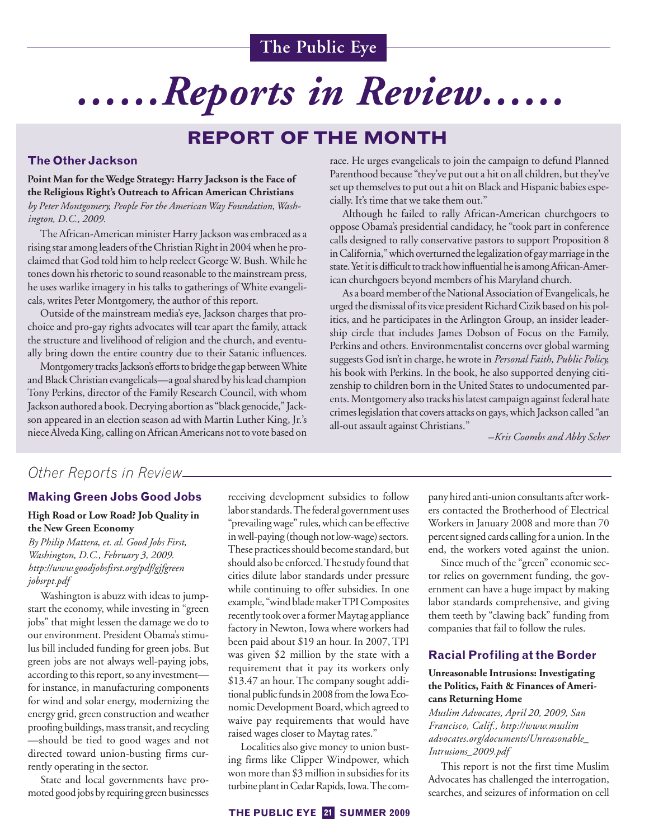# *……Reports in Review……*

# **REPORT OF THE MONTH**

## **The Other Jackson**

## **Point Man for the Wedge Strategy: Harry Jackson is the Face of the Religious Right's Outreach to African American Christians**

*by Peter Montgomery, People For the AmericanWay Foundation,Washington, D.C., 2009.*

The African-American minister Harry Jackson was embraced as a rising star among leaders of theChristian Right in 2004 when he proclaimed that God told him to help reelect GeorgeW. Bush.While he tones down his rhetoric to sound reasonable to the mainstream press, he uses warlike imagery in his talks to gatherings of White evangelicals, writes Peter Montgomery, the author of this report.

Outside of the mainstream media's eye, Jackson charges that prochoice and pro-gay rights advocates will tear apart the family, attack the structure and livelihood of religion and the church, and eventually bring down the entire country due to their Satanic influences.

Montgomery tracks Jackson's efforts to bridge the gap between White and BlackChristian evangelicals—a goal shared by his lead champion Tony Perkins, director of the Family Research Council, with whom Jackson authored a book.Decrying abortion as "black genocide," Jackson appeared in an election season ad with Martin Luther King, Jr.'s niece Alveda King, calling on African Americans not to vote based on

race. He urges evangelicals to join the campaign to defund Planned Parenthood because "they've put out a hit on all children, but they've set up themselves to put out a hit on Black and Hispanic babies especially. It's time that we take them out."

Although he failed to rally African-American churchgoers to oppose Obama's presidential candidacy, he "took part in conference calls designed to rally conservative pastors to support Proposition 8 in California," which overturned the legalization of gay marriage in the state. Yet it is difficult to track how influential he is among African-American churchgoers beyond members of his Maryland church.

As a board member of the National Association of Evangelicals, he urged the dismissal of its vice president RichardCizik based on his politics, and he participates in the Arlington Group, an insider leadership circle that includes James Dobson of Focus on the Family, Perkins and others. Environmentalist concerns over global warming suggests God isn't in charge, he wrote in *Personal Faith, Public Policy,* his book with Perkins. In the book, he also supported denying citizenship to children born in the United States to undocumented parents.Montgomery also tracks his latest campaign against federal hate crimes legislation that covers attacks on gays, which Jackson called "an all-out assault against Christians."

*–Kris Coombs and Abby Scher*

# *Other Reports in Review*

### **Making Green Jobs Good Jobs**

### **High Road or Low Road? Job Quality in the New Green Economy**

*By Philip Mattera, et. al. Good Jobs First, Washington, D.C., February 3, 2009. http://www.goodjobsfirst.org/pdf/gjfgreen jobsrpt.pdf*

Washington is abuzz with ideas to jumpstart the economy, while investing in "green jobs" that might lessen the damage we do to our environment. President Obama's stimulus bill included funding for green jobs. But green jobs are not always well-paying jobs, according to this report, so any investment for instance, in manufacturing components for wind and solar energy, modernizing the energy grid, green construction and weather proofing buildings, mass transit, and recycling —should be tied to good wages and not directed toward union-busting firms currently operating in the sector.

State and local governments have promoted good jobs by requiring green businesses

receiving development subsidies to follow labor standards. The federal government uses "prevailingwage" rules,which can be effective inwell-paying (though not low-wage) sectors. These practices should become standard, but should also be enforced. The study found that cities dilute labor standards under pressure while continuing to offer subsidies. In one example, "wind blademakerTPIComposites recently took over a former Maytag appliance factory in Newton, Iowa where workers had been paid about \$19 an hour. In 2007, TPI was given \$2 million by the state with a requirement that it pay its workers only \$13.47 an hour. The company sought additional public funds in 2008 from the Iowa Economic Development Board, which agreed to waive pay requirements that would have raised wages closer to Maytag rates."

Localities also give money to union busting firms like Clipper Windpower, which won more than \$3 million in subsidies for its turbine plant in Cedar Rapids, Iowa. The company hired anti-union consultants afterworkers contacted the Brotherhood of Electrical Workers in January 2008 and more than 70 percent signed cards callingfor a union. In the end, the workers voted against the union.

Since much of the "green" economic sector relies on government funding, the government can have a huge impact by making labor standards comprehensive, and giving them teeth by "clawing back" funding from companies that fail to follow the rules.

### **Racial Profiling at the Border**

### **Unreasonable Intrusions: Investigating the Politics, Faith & Finances of Americans Returning Home**

*Muslim Advocates, April 20, 2009, San Francisco, Calif., http://www.muslim advocates.org/documents/Unreasonable\_ Intrusions\_2009.pdf*

This report is not the first time Muslim Advocates has challenged the interrogation, searches, and seizures of information on cell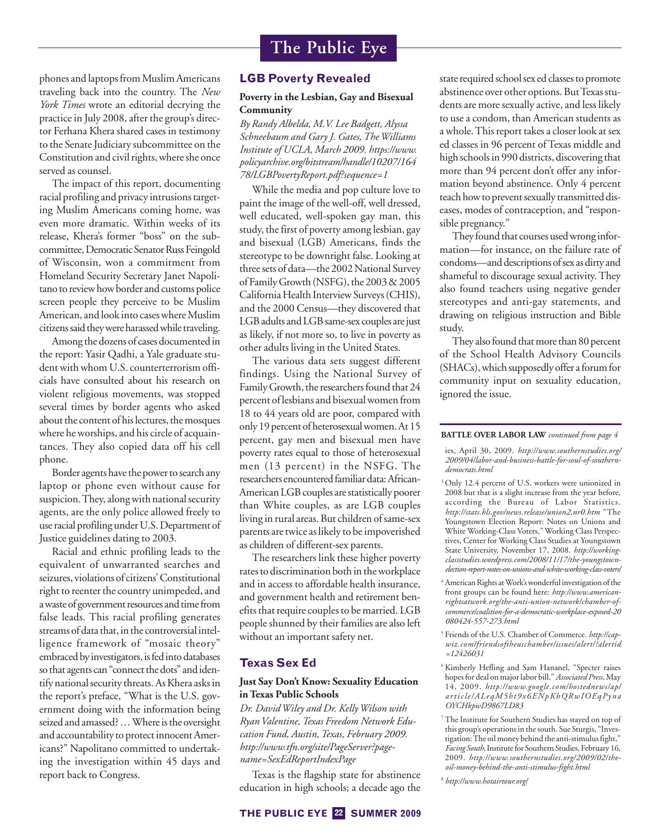phones and laptops from Muslim Americans traveling back into the country. The *New York Times* wrote an editorial decrying the practice in July 2008, after the group's director Ferhana Khera shared cases in testimony to the Senate Judiciary subcommittee on the Constitution and civil rights, where she once served as counsel.

The impact of this report, documenting racial profiling and privacy intrusions targeting Muslim Americans coming home, was even more dramatic. Within weeks of its release, Khera's former "boss" on the subcommittee, Democratic Senator Russ Feingold of Wisconsin, won a commitment from Homeland Security Secretary Janet Napolitano to review how border and customs police screen people they perceive to be Muslim American, and look into cases where Muslim citizens said theywere harassedwhile traveling.

Among the dozens of cases documented in the report: Yasir Qadhi, a Yale graduate student with whom U.S. counterterrorism officials have consulted about his research on violent religious movements, was stopped several times by border agents who asked about the content of his lectures, themosques where he worships, and his circle of acquaintances. They also copied data off his cell phone.

Border agents have the power to search any laptop or phone even without cause for suspicion.They, along with national security agents, are the only police allowed freely to use racial profiling under U.S. Department of Justice guidelines dating to 2003.

Racial and ethnic profiling leads to the equivalent of unwarranted searches and seizures, violations of citizens'Constitutional right to reenter the country unimpeded, and a waste of government resources and time from false leads. This racial profiling generates streams of data that, in the controversial intelligence framework of "mosaic theory" embraced by investigators, is fed into databases so that agents can "connect the dots" andidentify national security threats. As Khera asks in the report's preface, "What is the U.S. government doing with the information being seized and amassed?…Where is the oversight and accountability to protect innocent Americans?" Napolitano committed to undertaking the investigation within 45 days and report back to Congress.

### **LGB Poverty Revealed**

### **Poverty in the Lesbian, Gay and Bisexual Community**

*By Randy Albelda, M.V. Lee Badgett, Alyssa Schneebaum and Gary J. Gates, TheWilliams Institute of UCLA, March 2009. https://www. policyarchive.org/bitstream/handle/10207/164 78/LGBPovertyReport.pdf?sequence=1*

While the media and pop culture love to paint the image of the well-off, well dressed, well educated, well-spoken gay man, this study, the first of poverty among lesbian, gay and bisexual (LGB) Americans, finds the stereotype to be downright false. Looking at three sets of data—the 2002 National Survey of Family Growth (NSFG), the 2003& 2005 California Health Interview Surveys (CHIS), and the 2000 Census—they discovered that LGB adults and LGB same-sex couples are just as likely, if not more so, to live in poverty as other adults living in the United States.

The various data sets suggest different findings. Using the National Survey of Family Growth, the researchers found that 24 percent of lesbians and bisexual women from 18 to 44 years old are poor, compared with only 19 percent of heterosexual women. At 15 percent, gay men and bisexual men have poverty rates equal to those of heterosexual men (13 percent) in the NSFG. The researchers encountered familiar data: African-American LGB couples are statistically poorer than White couples, as are LGB couples living in rural areas. But children of same-sex parents are twice as likely to be impoverished as children of different-sex parents.

The researchers link these higher poverty rates to discrimination both in the workplace and in access to affordable health insurance, and government health and retirement benefits that require couples to be married. LGB people shunned by their families are also left without an important safety net.

# **Texas Sex Ed**

### **Just Say Don't Know: Sexuality Education in Texas Public Schools**

*Dr. DavidWiley and Dr. KellyWilson with Ryan Valentine, Texas Freedom Network Education Fund, Austin, Texas, February 2009. http://www.tfn.org/site/PageServer?pagename=SexEdReportIndexPage*

Texas is the flagship state for abstinence education in high schools; a decade ago the

White Working-Class Voters," Working Class Perspectives, Center for Working Class Studies at Youngstown State University, November 17, 2008. *http://workingclassstudies.wordpress.com/2008/11/17/the-youngstownelection-report-notes-on-unions-and-white-working-class-voters/* <sup>4</sup> American Rights at Work's wonderful investigation of the front groups can be found here: *http://www.american-*

*rightsatwork.org/the-anti-union-network/chamber-ofcommerce/coalition-for-a-democratic-workplace-exposed-20 080424-557-273.html* <sup>5</sup> Friends of the U.S. Chamber of Commerce. *http://cap-*

state required school sex ed classes to promote abstinence over other options. ButTexas students are more sexually active, and less likely to use a condom, than American students as a whole.This report takes a closer look at sex ed classes in 96 percent of Texas middle and high schools in 990 districts, discovering that more than 94 percent don't offer any information beyond abstinence. Only 4 percent teach how to prevent sexually transmitted diseases, modes of contraception, and "respon-

They found that courses used wrong information—for instance, on the failure rate of condoms—and descriptions of sex as dirty and shameful to discourage sexual activity. They also found teachers using negative gender stereotypes and anti-gay statements, and drawing on religious instruction and Bible

They also found that more than 80 percent of the School Health Advisory Councils (SHACs), which supposedly offer a forum for community input on sexuality education,

**BATTLE OVER LABOR LAW** *continued from page 4* ies, April 30, 2009. *http://www.southernstudies.org/ 2009/04/labor-and-business-battle-for-soul-of-southern-*

<sup>3</sup> Only 12.4 percent of U.S. workers were unionized in 2008 but that is a slight increase from the year before, according the Bureau of Labor Statistics. *http://stats.bls.gov/news.release/union2.nr0.htm* "The Youngstown Election Report: Notes on Unions and

sible pregnancy."

ignored the issue.

*democrats.html*

study.

- *wiz.com/friendsoftheuschamber/issues/alert/?alertid =12426031*
- <sup>6</sup> Kimberly Hefling and Sam Hananel, "Specter raises hopes for deal on major labor bill," *Associated Press,*May 14, 2009. *http://www.google.com/hostednews/ap/ article/ALeqM5ht9x6ENpKhQRwIOEqPyna OYCHkpwD9867LD83*
- <sup>7</sup> The Institute for Southern Studies has stayed on top of this group's operations in the south. Sue Sturgis, "Investigation:The oil money behind the anti-stimulusfight," Facing South, Institute for Southern Studies, February 16, 2009. *http://www.southernstudies.org/2009/02/theoil-money-behind-the-anti-stimulus-fight.html*

<sup>8</sup> *http://www.hotairtour.org/*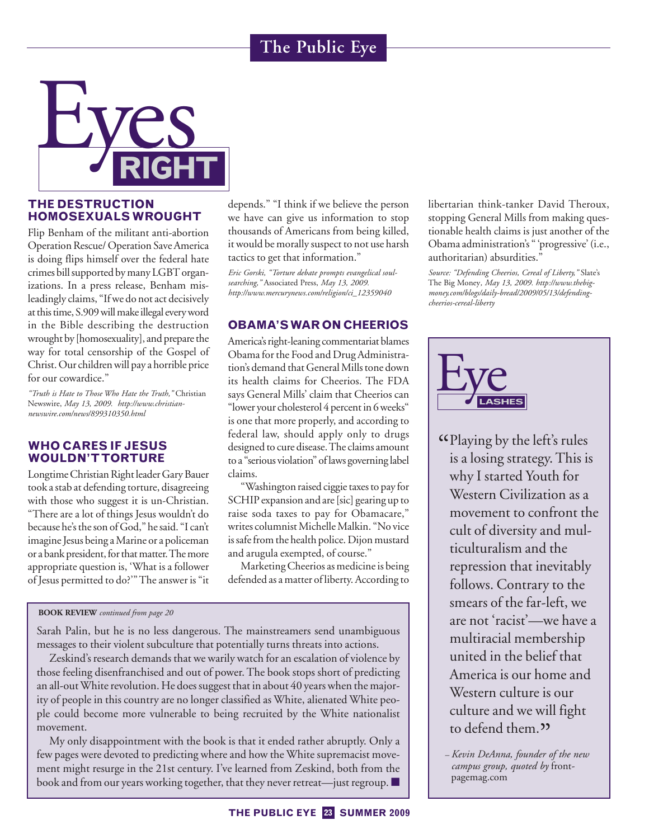

# **THE DESTRUCTION HOMOSEXUALS WROUGHT**

Flip Benham of the militant anti-abortion Operation Rescue/ Operation Save America is doing flips himself over the federal hate crimes bill supported by many LGBT organizations. In a press release, Benham misleadingly claims, "If we do not act decisively at this time, S.909 will make illegal every word in the Bible describing the destruction wrought by [homosexuality], and prepare the way for total censorship of the Gospel of Christ. Our children will pay a horrible price for our cowardice."

*"Truth is Hate to Those Who Hate the Truth,"* Christian Newswire, *May 13, 2009. http://www.christiannewswire.com/news/899310350.html*

# **WHO CARES IF JESUS WOULDN'TTORTURE**

LongtimeChristian Right leader Gary Bauer took a stab at defending torture, disagreeing with those who suggest it is un-Christian. "There are a lot of things Jesus wouldn't do because he's the son of God," he said. "I can't imagine Jesus being aMarine or a policeman or a bank president, for that matter. The more appropriate question is, 'What is a follower of Jesus permitted to do?'"The answer is "it

# depends." "I think if we believe the person we have can give us information to stop thousands of Americans from being killed, it would be morally suspect to not use harsh tactics to get that information."

*Eric Gorski, "Torture debate prompts evangelical soulsearching,"* Associated Press, *May 13, 2009. http://www.mercurynews.com/religion/ci\_12359040*

# **OBAMA'SWAR ON CHEERIOS**

America's right-leaning commentariat blames Obama for the Food and Drug Administration's demand that GeneralMills tone down its health claims for Cheerios. The FDA says General Mills' claim that Cheerios can "lower your cholesterol 4 percent in 6 weeks" is one that more properly, and according to federal law, should apply only to drugs designed to cure disease.The claims amount to a "serious violation" of laws governing label claims.

"Washington raised ciggie taxes to payfor SCHIP expansion and are [sic] gearing up to raise soda taxes to pay for Obamacare," writes columnist Michelle Malkin. "No vice is safe from the health police. Dijon mustard and arugula exempted, of course."

Marketing Cheerios as medicine is being defended as a matter of liberty. According to

**BOOK REVIEW** *continued from page 20*

Sarah Palin, but he is no less dangerous. The mainstreamers send unambiguous messages to their violent subculture that potentially turns threats into actions.

Zeskind's research demands that we warily watch for an escalation of violence by those feeling disenfranchised and out of power. The book stops short of predicting an all-outWhite revolution. He does suggest that in about 40 years when the majority of people in this country are no longer classified as White, alienated White people could become more vulnerable to being recruited by the White nationalist movement.

My only disappointment with the book is that it ended rather abruptly. Only a few pages were devoted to predicting where and how the White supremacist movement might resurge in the 21st century. I've learned from Zeskind, both from the book and from our years working together, that they never retreat—just regroup. ■ libertarian think-tanker David Theroux, stopping General Mills from making questionable health claims is just another of the Obama administration's " 'progressive' (i.e., authoritarian) absurdities."

*Source: "Defending Cheerios, Cereal of Liberty,"* Slate's The Big Money*, May 13, 2009. http://www.thebigmoney.com/blogs/daily-bread/2009/05/13/defendingcheerios-cereal-liberty*



"Playing by the left's rules is a losing strategy. This is why I started Youth for Western Civilization as a movement to confront the cult of diversity and multiculturalism and the repression that inevitably follows. Contrary to the smears of the far-left, we are not 'racist'—we have a multiracial membership united in the belief that America is our home and Western culture is our culture and we will fight to defend them." *– Kevin DeAnna, founder of the new*

*campus group, quoted by* frontpagemag.com